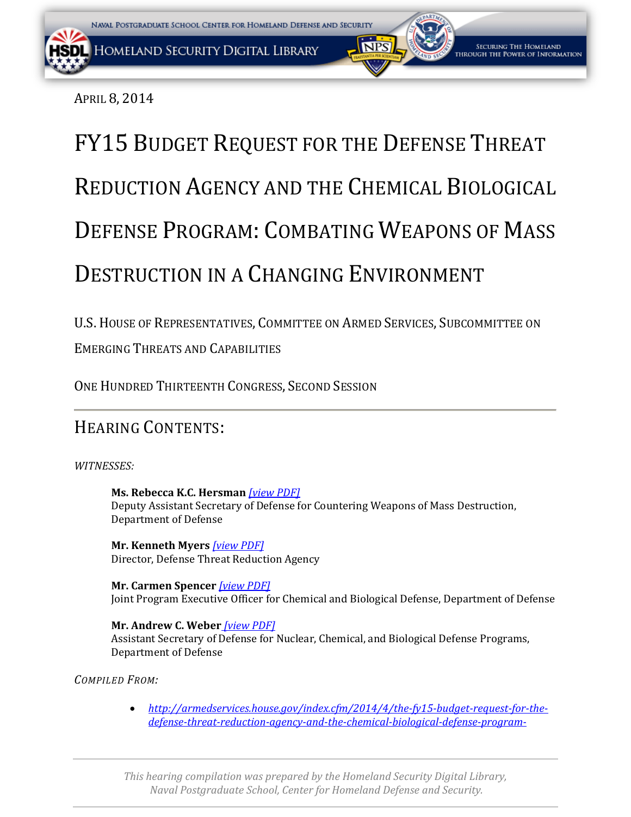<span id="page-0-0"></span>APRIL 8, 2014

# FY15 BUDGET REQUEST FOR THE DEFENSE THREAT REDUCTION AGENCY AND THE CHEMICAL BIOLOGICAL DEFENSE PROGRAM: COMBATING WEAPONS OF MASS DESTRUCTION IN A CHANGING ENVIRONMENT

U.S. HOUSE OF REPRESENTATIVES, COMMITTEE ON ARMED SERVICES, SUBCOMMITTEE ON

EMERGING THREATS AND CAPABILITIES

ONE HUNDRED THIRTEENTH CONGRESS, SECOND SESSION

## HEARING CONTENTS:

*WITNESSES:* 

**Ms. Rebecca K.C. Hersman** *[\[view PDF\]](#page-0-0)* Deputy Assistant Secretary of Defense for Countering Weapons of Mass Destruction, Department of Defense

**Mr. Kenneth Myers** *[\[view PDF\]](#page-0-0)* Director, Defense Threat Reduction Agency

**Mr. Carmen Spencer** *[\[view PDF\]](#page-0-0)* Joint Program Executive Officer for Chemical and Biological Defense, Department of Defense

#### **Mr. Andrew C. Weber** *[\[view PDF\]](#page-0-0)*

Assistant Secretary of Defense for Nuclear, Chemical, and Biological Defense Programs, Department of Defense

*COMPILED FROM:*

• *[http://armedservices.house.gov/index.cfm/2014/4/the-fy15-budget-request-for-the](http://armedservices.house.gov/index.cfm/2014/4/the-fy15-budget-request-for-the-defense-threat-reduction-agency-and-the-chemical-biological-defense-program-combating-weapons-of-mass-destruction-in-a-changing-global-environment)[defense-threat-reduction-agency-and-the-chemical-biological-defense-program-](http://armedservices.house.gov/index.cfm/2014/4/the-fy15-budget-request-for-the-defense-threat-reduction-agency-and-the-chemical-biological-defense-program-combating-weapons-of-mass-destruction-in-a-changing-global-environment)*

*This hearing compilation was prepared by the Homeland Security Digital Library, Naval Postgraduate School, Center for Homeland Defense and Security.*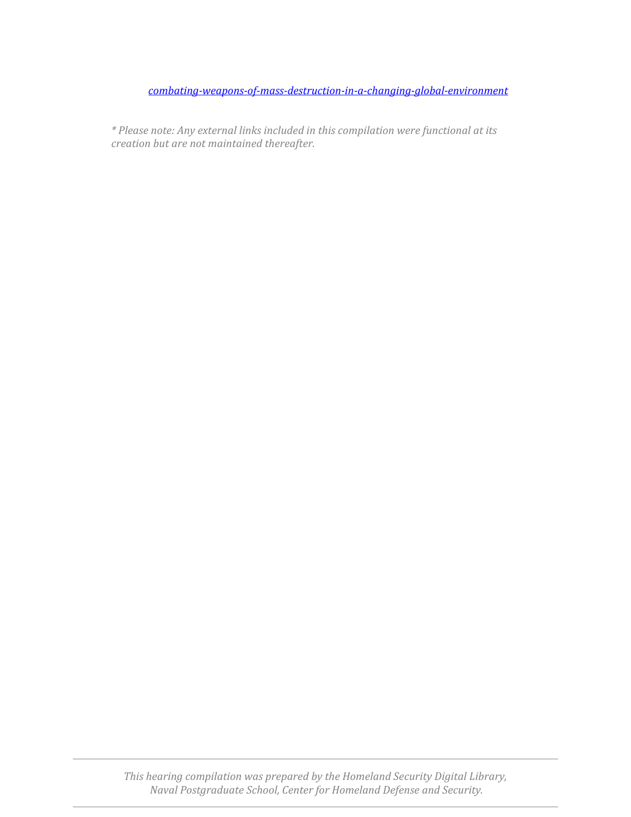*combating-weapons-of-mass-destruction-in-a-changing-global-environment*

*\* Please note: Any external links included in this compilation were functional at its creation but are not maintained thereafter.*

*This hearing compilation was prepared by the Homeland Security Digital Library, Naval Postgraduate School, Center for Homeland Defense and Security.*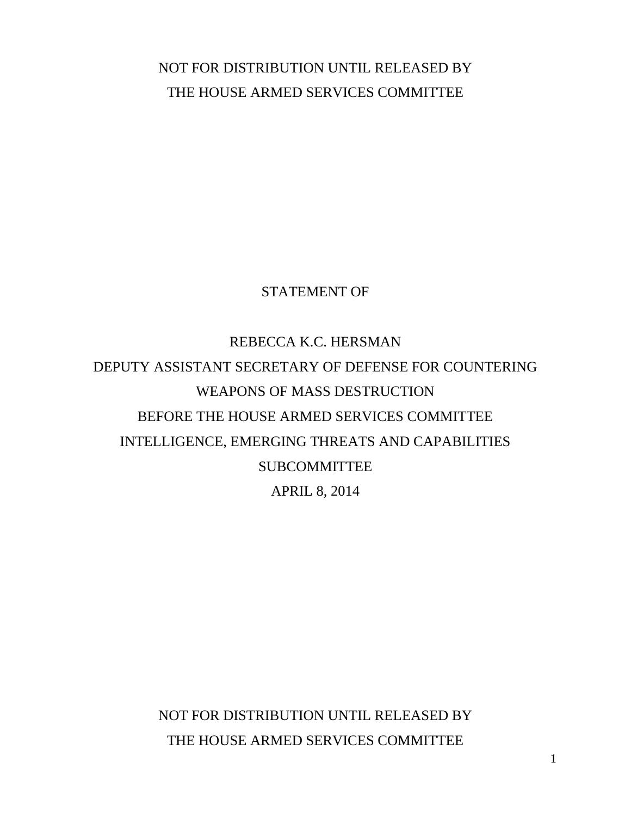<span id="page-2-0"></span>NOT FOR DISTRIBUTION UNTIL RELEASED BY THE HOUSE ARMED SERVICES COMMITTEE

STATEMENT OF

REBECCA K.C. HERSMAN DEPUTY ASSISTANT SECRETARY OF DEFENSE FOR COUNTERING WEAPONS OF MASS DESTRUCTION BEFORE THE HOUSE ARMED SERVICES COMMITTEE INTELLIGENCE, EMERGING THREATS AND CAPABILITIES SUBCOMMITTEE APRIL 8, 2014

> NOT FOR DISTRIBUTION UNTIL RELEASED BY THE HOUSE ARMED SERVICES COMMITTEE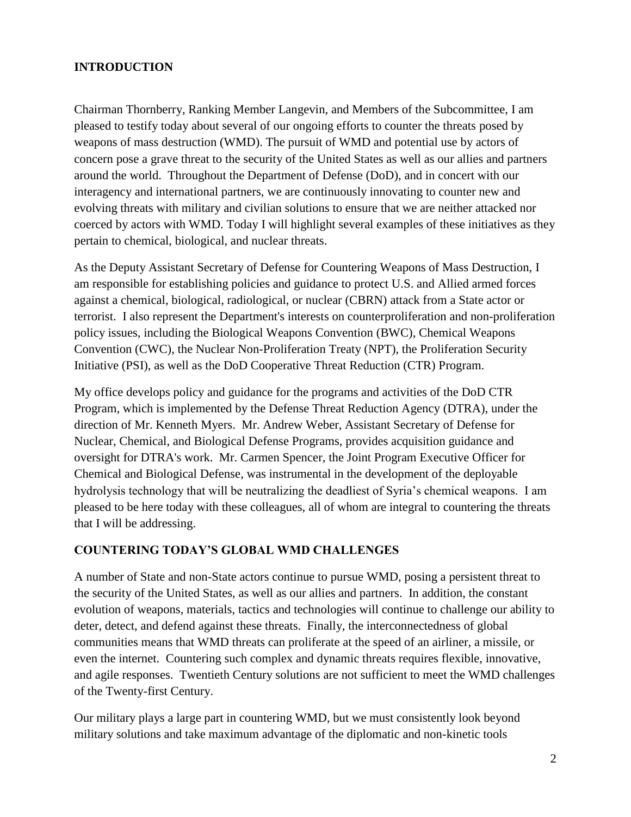#### **INTRODUCTION**

Chairman Thornberry, Ranking Member Langevin, and Members of the Subcommittee, I am pleased to testify today about several of our ongoing efforts to counter the threats posed by weapons of mass destruction (WMD). The pursuit of WMD and potential use by actors of concern pose a grave threat to the security of the United States as well as our allies and partners around the world. Throughout the Department of Defense (DoD), and in concert with our interagency and international partners, we are continuously innovating to counter new and evolving threats with military and civilian solutions to ensure that we are neither attacked nor coerced by actors with WMD. Today I will highlight several examples of these initiatives as they pertain to chemical, biological, and nuclear threats.

As the Deputy Assistant Secretary of Defense for Countering Weapons of Mass Destruction, I am responsible for establishing policies and guidance to protect U.S. and Allied armed forces against a chemical, biological, radiological, or nuclear (CBRN) attack from a State actor or terrorist. I also represent the Department's interests on counterproliferation and non-proliferation policy issues, including the Biological Weapons Convention (BWC), Chemical Weapons Convention (CWC), the Nuclear Non-Proliferation Treaty (NPT), the Proliferation Security Initiative (PSI), as well as the DoD Cooperative Threat Reduction (CTR) Program.

My office develops policy and guidance for the programs and activities of the DoD CTR Program, which is implemented by the Defense Threat Reduction Agency (DTRA), under the direction of Mr. Kenneth Myers. Mr. Andrew Weber, Assistant Secretary of Defense for Nuclear, Chemical, and Biological Defense Programs, provides acquisition guidance and oversight for DTRA's work. Mr. Carmen Spencer, the Joint Program Executive Officer for Chemical and Biological Defense, was instrumental in the development of the deployable hydrolysis technology that will be neutralizing the deadliest of Syria's chemical weapons. I am pleased to be here today with these colleagues, all of whom are integral to countering the threats that I will be addressing.

#### **COUNTERING TODAY'S GLOBAL WMD CHALLENGES**

A number of State and non-State actors continue to pursue WMD, posing a persistent threat to the security of the United States, as well as our allies and partners. In addition, the constant evolution of weapons, materials, tactics and technologies will continue to challenge our ability to deter, detect, and defend against these threats. Finally, the interconnectedness of global communities means that WMD threats can proliferate at the speed of an airliner, a missile, or even the internet. Countering such complex and dynamic threats requires flexible, innovative, and agile responses. Twentieth Century solutions are not sufficient to meet the WMD challenges of the Twenty-first Century.

Our military plays a large part in countering WMD, but we must consistently look beyond military solutions and take maximum advantage of the diplomatic and non-kinetic tools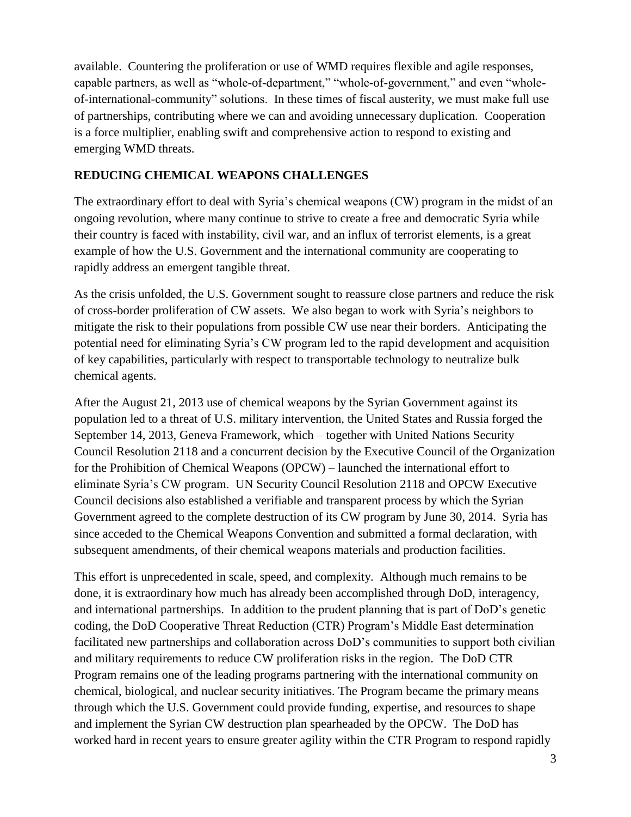available. Countering the proliferation or use of WMD requires flexible and agile responses, capable partners, as well as "whole-of-department," "whole-of-government," and even "wholeof-international-community" solutions. In these times of fiscal austerity, we must make full use of partnerships, contributing where we can and avoiding unnecessary duplication. Cooperation is a force multiplier, enabling swift and comprehensive action to respond to existing and emerging WMD threats.

#### **REDUCING CHEMICAL WEAPONS CHALLENGES**

The extraordinary effort to deal with Syria's chemical weapons (CW) program in the midst of an ongoing revolution, where many continue to strive to create a free and democratic Syria while their country is faced with instability, civil war, and an influx of terrorist elements, is a great example of how the U.S. Government and the international community are cooperating to rapidly address an emergent tangible threat.

As the crisis unfolded, the U.S. Government sought to reassure close partners and reduce the risk of cross-border proliferation of CW assets. We also began to work with Syria's neighbors to mitigate the risk to their populations from possible CW use near their borders. Anticipating the potential need for eliminating Syria's CW program led to the rapid development and acquisition of key capabilities, particularly with respect to transportable technology to neutralize bulk chemical agents.

After the August 21, 2013 use of chemical weapons by the Syrian Government against its population led to a threat of U.S. military intervention, the United States and Russia forged the September 14, 2013, Geneva Framework, which – together with United Nations Security Council Resolution 2118 and a concurrent decision by the Executive Council of the Organization for the Prohibition of Chemical Weapons (OPCW) – launched the international effort to eliminate Syria's CW program. UN Security Council Resolution 2118 and OPCW Executive Council decisions also established a verifiable and transparent process by which the Syrian Government agreed to the complete destruction of its CW program by June 30, 2014. Syria has since acceded to the Chemical Weapons Convention and submitted a formal declaration, with subsequent amendments, of their chemical weapons materials and production facilities.

This effort is unprecedented in scale, speed, and complexity. Although much remains to be done, it is extraordinary how much has already been accomplished through DoD, interagency, and international partnerships. In addition to the prudent planning that is part of DoD's genetic coding, the DoD Cooperative Threat Reduction (CTR) Program's Middle East determination facilitated new partnerships and collaboration across DoD's communities to support both civilian and military requirements to reduce CW proliferation risks in the region. The DoD CTR Program remains one of the leading programs partnering with the international community on chemical, biological, and nuclear security initiatives. The Program became the primary means through which the U.S. Government could provide funding, expertise, and resources to shape and implement the Syrian CW destruction plan spearheaded by the OPCW. The DoD has worked hard in recent years to ensure greater agility within the CTR Program to respond rapidly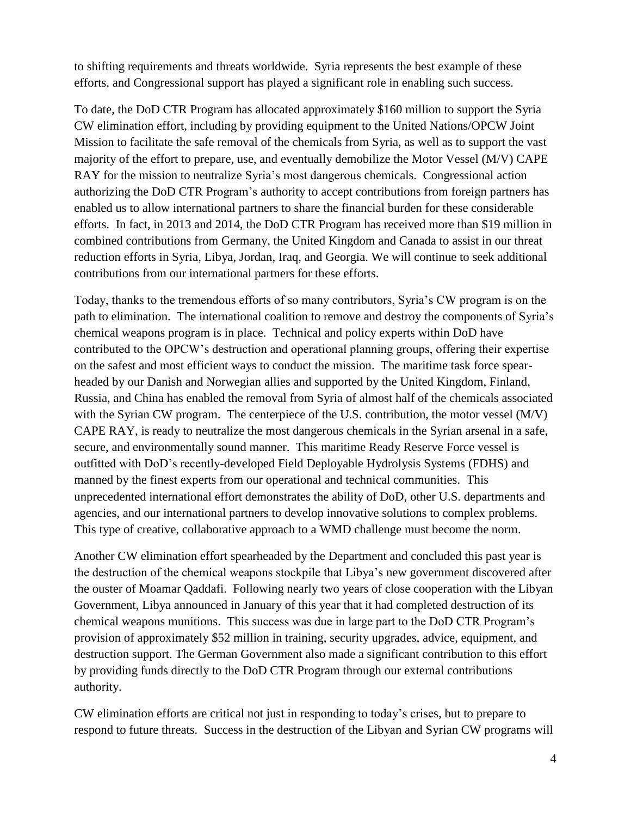to shifting requirements and threats worldwide. Syria represents the best example of these efforts, and Congressional support has played a significant role in enabling such success.

To date, the DoD CTR Program has allocated approximately \$160 million to support the Syria CW elimination effort, including by providing equipment to the United Nations/OPCW Joint Mission to facilitate the safe removal of the chemicals from Syria, as well as to support the vast majority of the effort to prepare, use, and eventually demobilize the Motor Vessel (M/V) CAPE RAY for the mission to neutralize Syria's most dangerous chemicals. Congressional action authorizing the DoD CTR Program's authority to accept contributions from foreign partners has enabled us to allow international partners to share the financial burden for these considerable efforts. In fact, in 2013 and 2014, the DoD CTR Program has received more than \$19 million in combined contributions from Germany, the United Kingdom and Canada to assist in our threat reduction efforts in Syria, Libya, Jordan, Iraq, and Georgia. We will continue to seek additional contributions from our international partners for these efforts.

Today, thanks to the tremendous efforts of so many contributors, Syria's CW program is on the path to elimination. The international coalition to remove and destroy the components of Syria's chemical weapons program is in place. Technical and policy experts within DoD have contributed to the OPCW's destruction and operational planning groups, offering their expertise on the safest and most efficient ways to conduct the mission. The maritime task force spearheaded by our Danish and Norwegian allies and supported by the United Kingdom, Finland, Russia, and China has enabled the removal from Syria of almost half of the chemicals associated with the Syrian CW program. The centerpiece of the U.S. contribution, the motor vessel (M/V) CAPE RAY, is ready to neutralize the most dangerous chemicals in the Syrian arsenal in a safe, secure, and environmentally sound manner. This maritime Ready Reserve Force vessel is outfitted with DoD's recently-developed Field Deployable Hydrolysis Systems (FDHS) and manned by the finest experts from our operational and technical communities. This unprecedented international effort demonstrates the ability of DoD, other U.S. departments and agencies, and our international partners to develop innovative solutions to complex problems. This type of creative, collaborative approach to a WMD challenge must become the norm.

Another CW elimination effort spearheaded by the Department and concluded this past year is the destruction of the chemical weapons stockpile that Libya's new government discovered after the ouster of Moamar Qaddafi. Following nearly two years of close cooperation with the Libyan Government, Libya announced in January of this year that it had completed destruction of its chemical weapons munitions. This success was due in large part to the DoD CTR Program's provision of approximately \$52 million in training, security upgrades, advice, equipment, and destruction support. The German Government also made a significant contribution to this effort by providing funds directly to the DoD CTR Program through our external contributions authority.

CW elimination efforts are critical not just in responding to today's crises, but to prepare to respond to future threats. Success in the destruction of the Libyan and Syrian CW programs will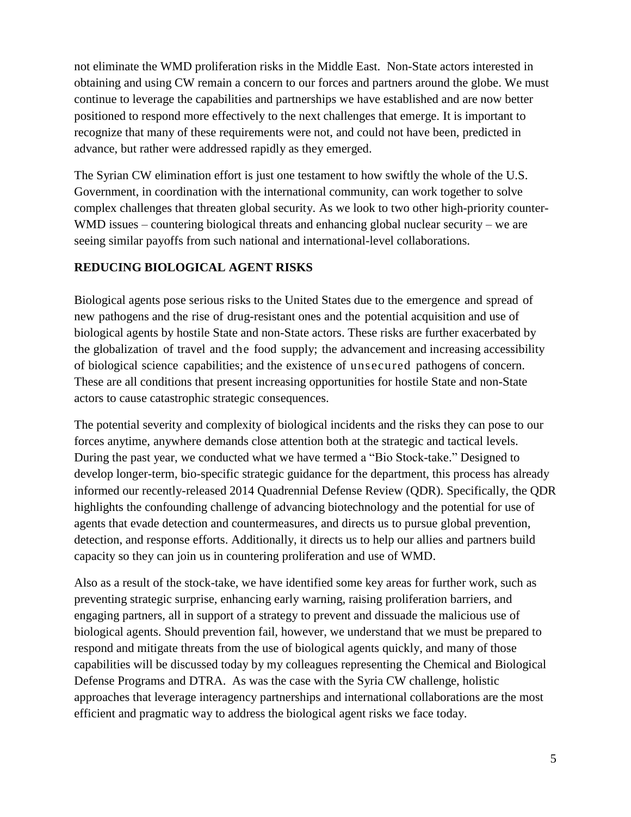not eliminate the WMD proliferation risks in the Middle East. Non-State actors interested in obtaining and using CW remain a concern to our forces and partners around the globe. We must continue to leverage the capabilities and partnerships we have established and are now better positioned to respond more effectively to the next challenges that emerge. It is important to recognize that many of these requirements were not, and could not have been, predicted in advance, but rather were addressed rapidly as they emerged.

The Syrian CW elimination effort is just one testament to how swiftly the whole of the U.S. Government, in coordination with the international community, can work together to solve complex challenges that threaten global security. As we look to two other high-priority counter-WMD issues – countering biological threats and enhancing global nuclear security – we are seeing similar payoffs from such national and international-level collaborations.

#### **REDUCING BIOLOGICAL AGENT RISKS**

Biological agents pose serious risks to the United States due to the emergence and spread of new pathogens and the rise of drug-resistant ones and the potential acquisition and use of biological agents by hostile State and non-State actors. These risks are further exacerbated by the globalization of travel and the food supply; the advancement and increasing accessibility of biological science capabilities; and the existence of unsecured pathogens of concern. These are all conditions that present increasing opportunities for hostile State and non-State actors to cause catastrophic strategic consequences.

The potential severity and complexity of biological incidents and the risks they can pose to our forces anytime, anywhere demands close attention both at the strategic and tactical levels. During the past year, we conducted what we have termed a "Bio Stock-take." Designed to develop longer-term, bio-specific strategic guidance for the department, this process has already informed our recently-released 2014 Quadrennial Defense Review (QDR). Specifically, the QDR highlights the confounding challenge of advancing biotechnology and the potential for use of agents that evade detection and countermeasures, and directs us to pursue global prevention, detection, and response efforts. Additionally, it directs us to help our allies and partners build capacity so they can join us in countering proliferation and use of WMD.

Also as a result of the stock-take, we have identified some key areas for further work, such as preventing strategic surprise, enhancing early warning, raising proliferation barriers, and engaging partners, all in support of a strategy to prevent and dissuade the malicious use of biological agents. Should prevention fail, however, we understand that we must be prepared to respond and mitigate threats from the use of biological agents quickly, and many of those capabilities will be discussed today by my colleagues representing the Chemical and Biological Defense Programs and DTRA. As was the case with the Syria CW challenge, holistic approaches that leverage interagency partnerships and international collaborations are the most efficient and pragmatic way to address the biological agent risks we face today.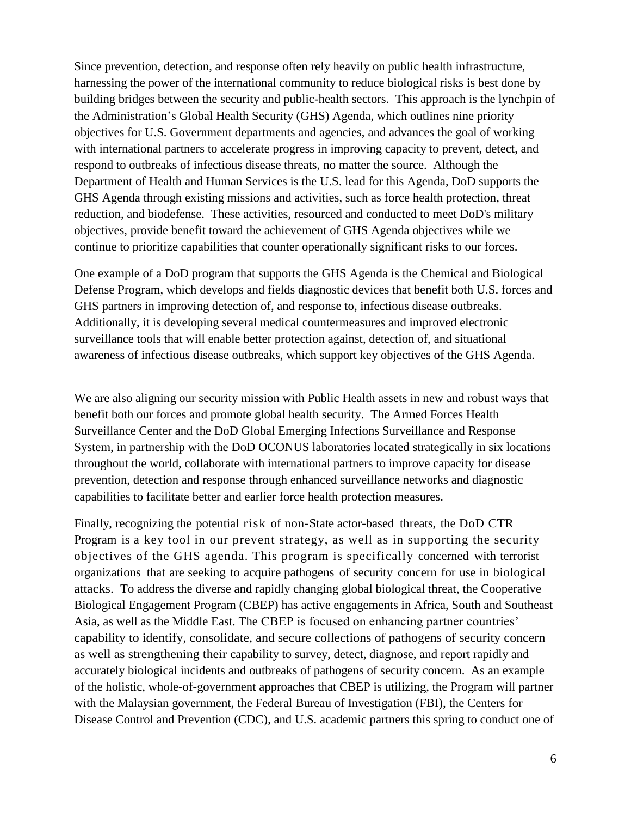Since prevention, detection, and response often rely heavily on public health infrastructure, harnessing the power of the international community to reduce biological risks is best done by building bridges between the security and public-health sectors. This approach is the lynchpin of the Administration's Global Health Security (GHS) Agenda, which outlines nine priority objectives for U.S. Government departments and agencies, and advances the goal of working with international partners to accelerate progress in improving capacity to prevent, detect, and respond to outbreaks of infectious disease threats, no matter the source. Although the Department of Health and Human Services is the U.S. lead for this Agenda, DoD supports the GHS Agenda through existing missions and activities, such as force health protection, threat reduction, and biodefense. These activities, resourced and conducted to meet DoD's military objectives, provide benefit toward the achievement of GHS Agenda objectives while we continue to prioritize capabilities that counter operationally significant risks to our forces.

One example of a DoD program that supports the GHS Agenda is the Chemical and Biological Defense Program, which develops and fields diagnostic devices that benefit both U.S. forces and GHS partners in improving detection of, and response to, infectious disease outbreaks. Additionally, it is developing several medical countermeasures and improved electronic surveillance tools that will enable better protection against, detection of, and situational awareness of infectious disease outbreaks, which support key objectives of the GHS Agenda.

We are also aligning our security mission with Public Health assets in new and robust ways that benefit both our forces and promote global health security. The Armed Forces Health Surveillance Center and the DoD Global Emerging Infections Surveillance and Response System, in partnership with the DoD OCONUS laboratories located strategically in six locations throughout the world, collaborate with international partners to improve capacity for disease prevention, detection and response through enhanced surveillance networks and diagnostic capabilities to facilitate better and earlier force health protection measures.

Finally, recognizing the potential risk of non-State actor-based threats, the DoD CTR Program is a key tool in our prevent strategy, as well as in supporting the security objectives of the GHS agenda. This program is specifically concerned with terrorist organizations that are seeking to acquire pathogens of security concern for use in biological attacks. To address the diverse and rapidly changing global biological threat, the Cooperative Biological Engagement Program (CBEP) has active engagements in Africa, South and Southeast Asia, as well as the Middle East. The CBEP is focused on enhancing partner countries' capability to identify, consolidate, and secure collections of pathogens of security concern as well as strengthening their capability to survey, detect, diagnose, and report rapidly and accurately biological incidents and outbreaks of pathogens of security concern. As an example of the holistic, whole-of-government approaches that CBEP is utilizing, the Program will partner with the Malaysian government, the Federal Bureau of Investigation (FBI), the Centers for Disease Control and Prevention (CDC), and U.S. academic partners this spring to conduct one of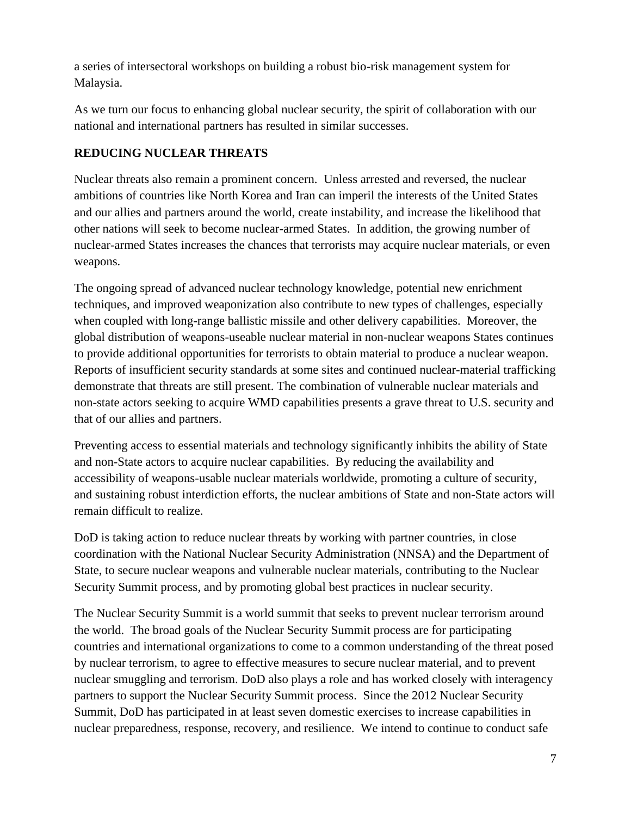a series of intersectoral workshops on building a robust bio-risk management system for Malaysia.

As we turn our focus to enhancing global nuclear security, the spirit of collaboration with our national and international partners has resulted in similar successes.

#### **REDUCING NUCLEAR THREATS**

Nuclear threats also remain a prominent concern. Unless arrested and reversed, the nuclear ambitions of countries like North Korea and Iran can imperil the interests of the United States and our allies and partners around the world, create instability, and increase the likelihood that other nations will seek to become nuclear-armed States. In addition, the growing number of nuclear-armed States increases the chances that terrorists may acquire nuclear materials, or even weapons.

The ongoing spread of advanced nuclear technology knowledge, potential new enrichment techniques, and improved weaponization also contribute to new types of challenges, especially when coupled with long-range ballistic missile and other delivery capabilities. Moreover, the global distribution of weapons-useable nuclear material in non-nuclear weapons States continues to provide additional opportunities for terrorists to obtain material to produce a nuclear weapon. Reports of insufficient security standards at some sites and continued nuclear-material trafficking demonstrate that threats are still present. The combination of vulnerable nuclear materials and non-state actors seeking to acquire WMD capabilities presents a grave threat to U.S. security and that of our allies and partners.

Preventing access to essential materials and technology significantly inhibits the ability of State and non-State actors to acquire nuclear capabilities. By reducing the availability and accessibility of weapons-usable nuclear materials worldwide, promoting a culture of security, and sustaining robust interdiction efforts, the nuclear ambitions of State and non-State actors will remain difficult to realize.

DoD is taking action to reduce nuclear threats by working with partner countries, in close coordination with the National Nuclear Security Administration (NNSA) and the Department of State, to secure nuclear weapons and vulnerable nuclear materials, contributing to the Nuclear Security Summit process, and by promoting global best practices in nuclear security.

The Nuclear Security Summit is a world summit that seeks to prevent nuclear terrorism around the world. The broad goals of the Nuclear Security Summit process are for participating countries and international organizations to come to a common understanding of the threat posed by nuclear terrorism, to agree to effective measures to secure nuclear material, and to prevent nuclear smuggling and terrorism. DoD also plays a role and has worked closely with interagency partners to support the Nuclear Security Summit process. Since the 2012 Nuclear Security Summit, DoD has participated in at least seven domestic exercises to increase capabilities in nuclear preparedness, response, recovery, and resilience. We intend to continue to conduct safe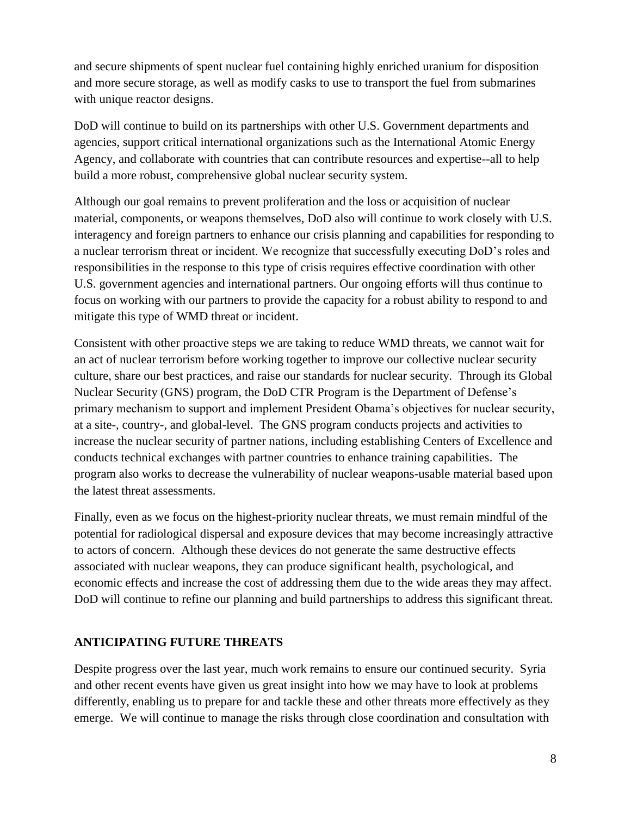and secure shipments of spent nuclear fuel containing highly enriched uranium for disposition and more secure storage, as well as modify casks to use to transport the fuel from submarines with unique reactor designs.

DoD will continue to build on its partnerships with other U.S. Government departments and agencies, support critical international organizations such as the International Atomic Energy Agency, and collaborate with countries that can contribute resources and expertise--all to help build a more robust, comprehensive global nuclear security system.

Although our goal remains to prevent proliferation and the loss or acquisition of nuclear material, components, or weapons themselves, DoD also will continue to work closely with U.S. interagency and foreign partners to enhance our crisis planning and capabilities for responding to a nuclear terrorism threat or incident. We recognize that successfully executing DoD's roles and responsibilities in the response to this type of crisis requires effective coordination with other U.S. government agencies and international partners. Our ongoing efforts will thus continue to focus on working with our partners to provide the capacity for a robust ability to respond to and mitigate this type of WMD threat or incident.

Consistent with other proactive steps we are taking to reduce WMD threats, we cannot wait for an act of nuclear terrorism before working together to improve our collective nuclear security culture, share our best practices, and raise our standards for nuclear security. Through its Global Nuclear Security (GNS) program, the DoD CTR Program is the Department of Defense's primary mechanism to support and implement President Obama's objectives for nuclear security, at a site-, country-, and global-level. The GNS program conducts projects and activities to increase the nuclear security of partner nations, including establishing Centers of Excellence and conducts technical exchanges with partner countries to enhance training capabilities. The program also works to decrease the vulnerability of nuclear weapons-usable material based upon the latest threat assessments.

Finally, even as we focus on the highest-priority nuclear threats, we must remain mindful of the potential for radiological dispersal and exposure devices that may become increasingly attractive to actors of concern. Although these devices do not generate the same destructive effects associated with nuclear weapons, they can produce significant health, psychological, and economic effects and increase the cost of addressing them due to the wide areas they may affect. DoD will continue to refine our planning and build partnerships to address this significant threat.

#### **ANTICIPATING FUTURE THREATS**

Despite progress over the last year, much work remains to ensure our continued security. Syria and other recent events have given us great insight into how we may have to look at problems differently, enabling us to prepare for and tackle these and other threats more effectively as they emerge. We will continue to manage the risks through close coordination and consultation with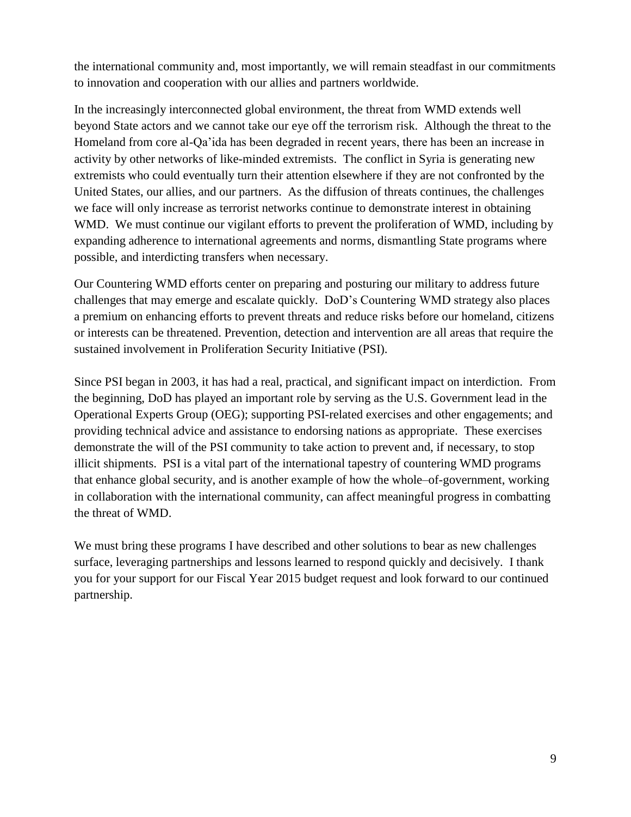the international community and, most importantly, we will remain steadfast in our commitments to innovation and cooperation with our allies and partners worldwide.

In the increasingly interconnected global environment, the threat from WMD extends well beyond State actors and we cannot take our eye off the terrorism risk. Although the threat to the Homeland from core al-Qa'ida has been degraded in recent years, there has been an increase in activity by other networks of like-minded extremists. The conflict in Syria is generating new extremists who could eventually turn their attention elsewhere if they are not confronted by the United States, our allies, and our partners. As the diffusion of threats continues, the challenges we face will only increase as terrorist networks continue to demonstrate interest in obtaining WMD. We must continue our vigilant efforts to prevent the proliferation of WMD, including by expanding adherence to international agreements and norms, dismantling State programs where possible, and interdicting transfers when necessary.

Our Countering WMD efforts center on preparing and posturing our military to address future challenges that may emerge and escalate quickly. DoD's Countering WMD strategy also places a premium on enhancing efforts to prevent threats and reduce risks before our homeland, citizens or interests can be threatened. Prevention, detection and intervention are all areas that require the sustained involvement in Proliferation Security Initiative (PSI).

Since PSI began in 2003, it has had a real, practical, and significant impact on interdiction. From the beginning, DoD has played an important role by serving as the U.S. Government lead in the Operational Experts Group (OEG); supporting PSI-related exercises and other engagements; and providing technical advice and assistance to endorsing nations as appropriate. These exercises demonstrate the will of the PSI community to take action to prevent and, if necessary, to stop illicit shipments. PSI is a vital part of the international tapestry of countering WMD programs that enhance global security, and is another example of how the whole–of-government, working in collaboration with the international community, can affect meaningful progress in combatting the threat of WMD.

We must bring these programs I have described and other solutions to bear as new challenges surface, leveraging partnerships and lessons learned to respond quickly and decisively. I thank you for your support for our Fiscal Year 2015 budget request and look forward to our continued partnership.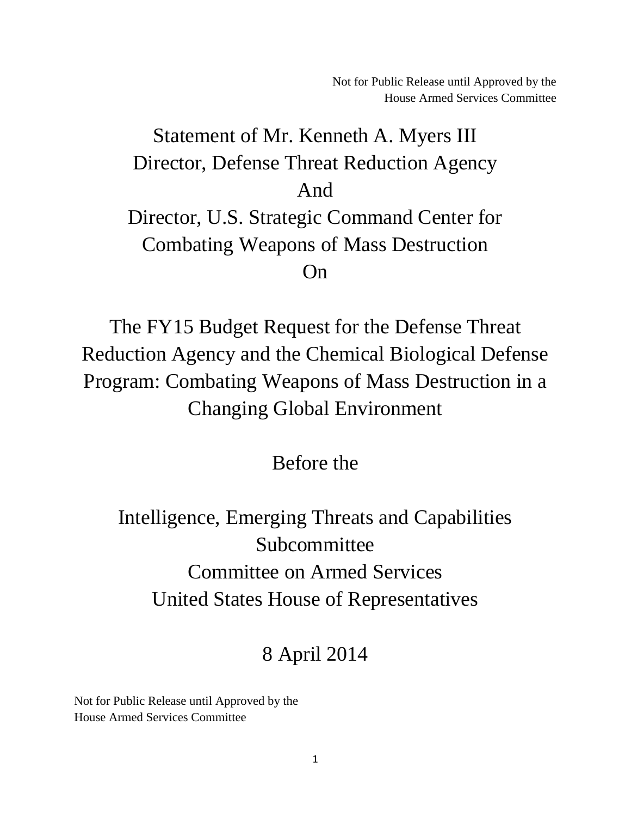Not for Public Release until Approved by the House Armed Services Committee

<span id="page-11-0"></span>Statement of Mr. Kenneth A. Myers III Director, Defense Threat Reduction Agency And Director, U.S. Strategic Command Center for Combating Weapons of Mass Destruction On

The FY15 Budget Request for the Defense Threat Reduction Agency and the Chemical Biological Defense Program: Combating Weapons of Mass Destruction in a Changing Global Environment

Before the

Intelligence, Emerging Threats and Capabilities Subcommittee Committee on Armed Services United States House of Representatives

# 8 April 2014

Not for Public Release until Approved by the House Armed Services Committee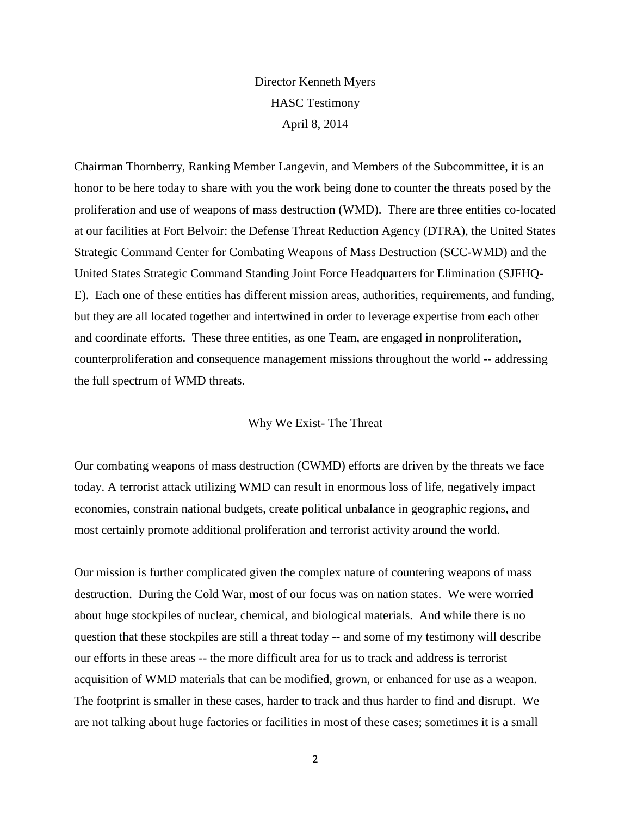## Director Kenneth Myers HASC Testimony April 8, 2014

Chairman Thornberry, Ranking Member Langevin, and Members of the Subcommittee, it is an honor to be here today to share with you the work being done to counter the threats posed by the proliferation and use of weapons of mass destruction (WMD). There are three entities co-located at our facilities at Fort Belvoir: the Defense Threat Reduction Agency (DTRA), the United States Strategic Command Center for Combating Weapons of Mass Destruction (SCC-WMD) and the United States Strategic Command Standing Joint Force Headquarters for Elimination (SJFHQ-E). Each one of these entities has different mission areas, authorities, requirements, and funding, but they are all located together and intertwined in order to leverage expertise from each other and coordinate efforts. These three entities, as one Team, are engaged in nonproliferation, counterproliferation and consequence management missions throughout the world -- addressing the full spectrum of WMD threats.

#### Why We Exist- The Threat

Our combating weapons of mass destruction (CWMD) efforts are driven by the threats we face today. A terrorist attack utilizing WMD can result in enormous loss of life, negatively impact economies, constrain national budgets, create political unbalance in geographic regions, and most certainly promote additional proliferation and terrorist activity around the world.

Our mission is further complicated given the complex nature of countering weapons of mass destruction. During the Cold War, most of our focus was on nation states. We were worried about huge stockpiles of nuclear, chemical, and biological materials. And while there is no question that these stockpiles are still a threat today -- and some of my testimony will describe our efforts in these areas -- the more difficult area for us to track and address is terrorist acquisition of WMD materials that can be modified, grown, or enhanced for use as a weapon. The footprint is smaller in these cases, harder to track and thus harder to find and disrupt. We are not talking about huge factories or facilities in most of these cases; sometimes it is a small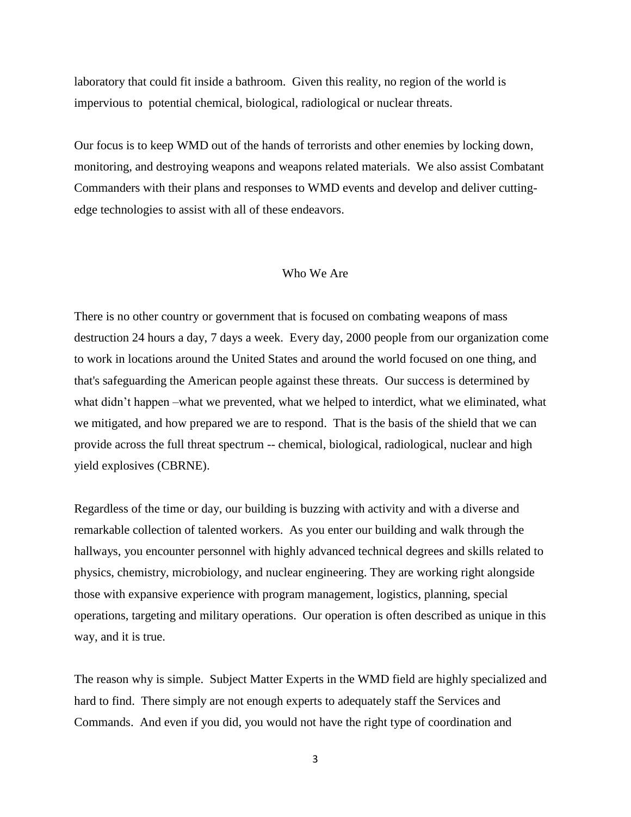laboratory that could fit inside a bathroom. Given this reality, no region of the world is impervious to potential chemical, biological, radiological or nuclear threats.

Our focus is to keep WMD out of the hands of terrorists and other enemies by locking down, monitoring, and destroying weapons and weapons related materials. We also assist Combatant Commanders with their plans and responses to WMD events and develop and deliver cuttingedge technologies to assist with all of these endeavors.

#### Who We Are

There is no other country or government that is focused on combating weapons of mass destruction 24 hours a day, 7 days a week. Every day, 2000 people from our organization come to work in locations around the United States and around the world focused on one thing, and that's safeguarding the American people against these threats. Our success is determined by what didn't happen –what we prevented, what we helped to interdict, what we eliminated, what we mitigated, and how prepared we are to respond. That is the basis of the shield that we can provide across the full threat spectrum -- chemical, biological, radiological, nuclear and high yield explosives (CBRNE).

Regardless of the time or day, our building is buzzing with activity and with a diverse and remarkable collection of talented workers. As you enter our building and walk through the hallways, you encounter personnel with highly advanced technical degrees and skills related to physics, chemistry, microbiology, and nuclear engineering. They are working right alongside those with expansive experience with program management, logistics, planning, special operations, targeting and military operations. Our operation is often described as unique in this way, and it is true.

The reason why is simple. Subject Matter Experts in the WMD field are highly specialized and hard to find. There simply are not enough experts to adequately staff the Services and Commands. And even if you did, you would not have the right type of coordination and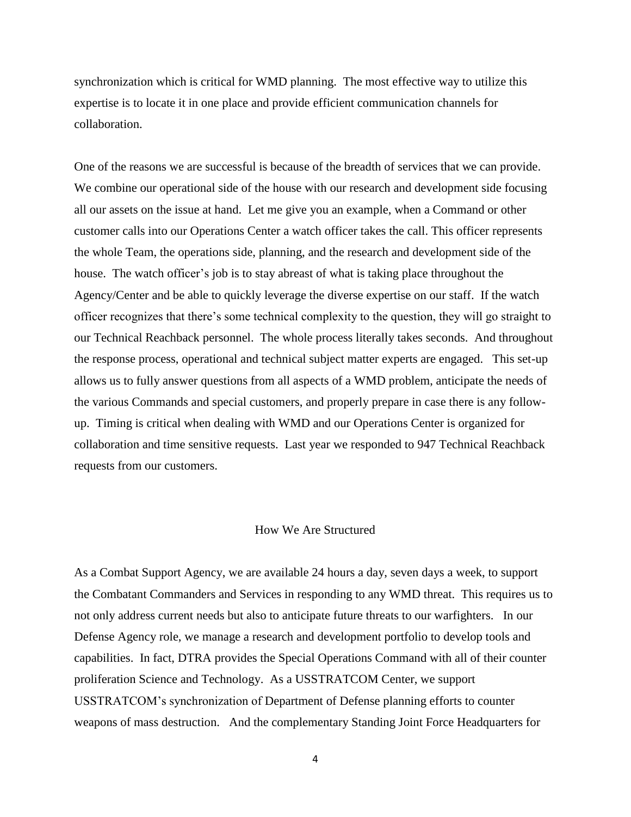synchronization which is critical for WMD planning. The most effective way to utilize this expertise is to locate it in one place and provide efficient communication channels for collaboration.

One of the reasons we are successful is because of the breadth of services that we can provide. We combine our operational side of the house with our research and development side focusing all our assets on the issue at hand. Let me give you an example, when a Command or other customer calls into our Operations Center a watch officer takes the call. This officer represents the whole Team, the operations side, planning, and the research and development side of the house. The watch officer's job is to stay abreast of what is taking place throughout the Agency/Center and be able to quickly leverage the diverse expertise on our staff. If the watch officer recognizes that there's some technical complexity to the question, they will go straight to our Technical Reachback personnel. The whole process literally takes seconds. And throughout the response process, operational and technical subject matter experts are engaged. This set-up allows us to fully answer questions from all aspects of a WMD problem, anticipate the needs of the various Commands and special customers, and properly prepare in case there is any followup. Timing is critical when dealing with WMD and our Operations Center is organized for collaboration and time sensitive requests. Last year we responded to 947 Technical Reachback requests from our customers.

#### How We Are Structured

As a Combat Support Agency, we are available 24 hours a day, seven days a week, to support the Combatant Commanders and Services in responding to any WMD threat. This requires us to not only address current needs but also to anticipate future threats to our warfighters. In our Defense Agency role, we manage a research and development portfolio to develop tools and capabilities. In fact, DTRA provides the Special Operations Command with all of their counter proliferation Science and Technology. As a USSTRATCOM Center, we support USSTRATCOM's synchronization of Department of Defense planning efforts to counter weapons of mass destruction. And the complementary Standing Joint Force Headquarters for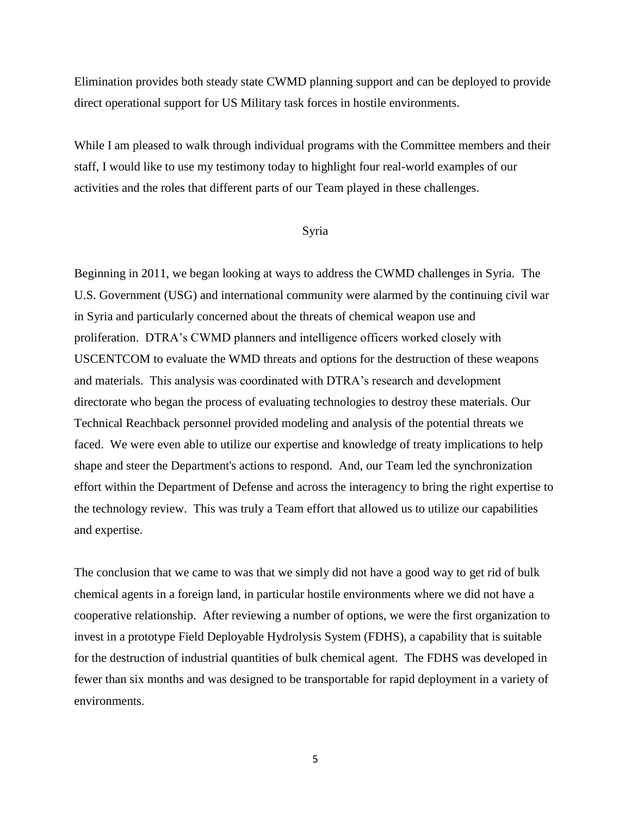Elimination provides both steady state CWMD planning support and can be deployed to provide direct operational support for US Military task forces in hostile environments.

While I am pleased to walk through individual programs with the Committee members and their staff, I would like to use my testimony today to highlight four real-world examples of our activities and the roles that different parts of our Team played in these challenges.

#### Syria

Beginning in 2011, we began looking at ways to address the CWMD challenges in Syria. The U.S. Government (USG) and international community were alarmed by the continuing civil war in Syria and particularly concerned about the threats of chemical weapon use and proliferation. DTRA's CWMD planners and intelligence officers worked closely with USCENTCOM to evaluate the WMD threats and options for the destruction of these weapons and materials. This analysis was coordinated with DTRA's research and development directorate who began the process of evaluating technologies to destroy these materials. Our Technical Reachback personnel provided modeling and analysis of the potential threats we faced. We were even able to utilize our expertise and knowledge of treaty implications to help shape and steer the Department's actions to respond. And, our Team led the synchronization effort within the Department of Defense and across the interagency to bring the right expertise to the technology review. This was truly a Team effort that allowed us to utilize our capabilities and expertise.

The conclusion that we came to was that we simply did not have a good way to get rid of bulk chemical agents in a foreign land, in particular hostile environments where we did not have a cooperative relationship. After reviewing a number of options, we were the first organization to invest in a prototype Field Deployable Hydrolysis System (FDHS), a capability that is suitable for the destruction of industrial quantities of bulk chemical agent. The FDHS was developed in fewer than six months and was designed to be transportable for rapid deployment in a variety of environments.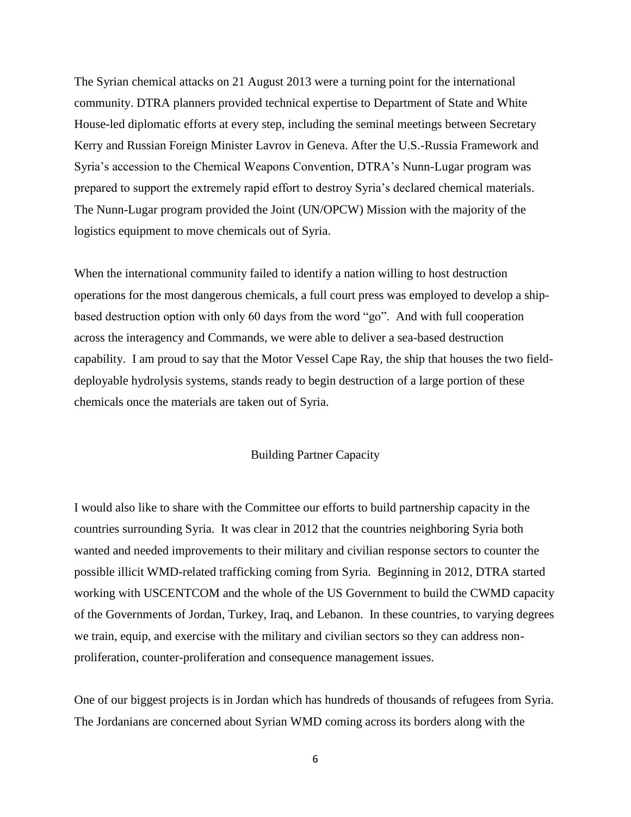The Syrian chemical attacks on 21 August 2013 were a turning point for the international community. DTRA planners provided technical expertise to Department of State and White House-led diplomatic efforts at every step, including the seminal meetings between Secretary Kerry and Russian Foreign Minister Lavrov in Geneva. After the U.S.-Russia Framework and Syria's accession to the Chemical Weapons Convention, DTRA's Nunn-Lugar program was prepared to support the extremely rapid effort to destroy Syria's declared chemical materials. The Nunn-Lugar program provided the Joint (UN/OPCW) Mission with the majority of the logistics equipment to move chemicals out of Syria.

When the international community failed to identify a nation willing to host destruction operations for the most dangerous chemicals, a full court press was employed to develop a shipbased destruction option with only 60 days from the word "go". And with full cooperation across the interagency and Commands, we were able to deliver a sea-based destruction capability. I am proud to say that the Motor Vessel Cape Ray, the ship that houses the two fielddeployable hydrolysis systems, stands ready to begin destruction of a large portion of these chemicals once the materials are taken out of Syria.

#### Building Partner Capacity

I would also like to share with the Committee our efforts to build partnership capacity in the countries surrounding Syria. It was clear in 2012 that the countries neighboring Syria both wanted and needed improvements to their military and civilian response sectors to counter the possible illicit WMD-related trafficking coming from Syria. Beginning in 2012, DTRA started working with USCENTCOM and the whole of the US Government to build the CWMD capacity of the Governments of Jordan, Turkey, Iraq, and Lebanon. In these countries, to varying degrees we train, equip, and exercise with the military and civilian sectors so they can address nonproliferation, counter-proliferation and consequence management issues.

One of our biggest projects is in Jordan which has hundreds of thousands of refugees from Syria. The Jordanians are concerned about Syrian WMD coming across its borders along with the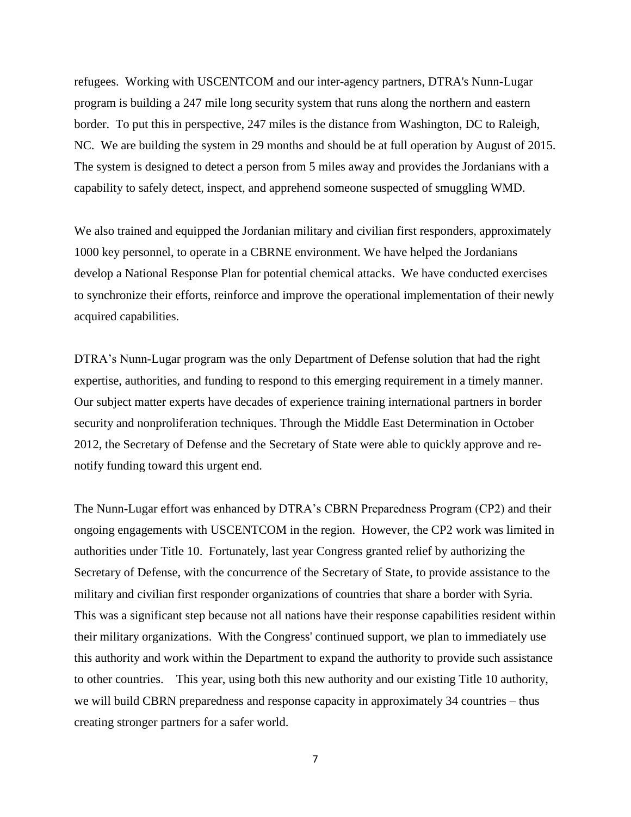refugees. Working with USCENTCOM and our inter-agency partners, DTRA's Nunn-Lugar program is building a 247 mile long security system that runs along the northern and eastern border. To put this in perspective, 247 miles is the distance from Washington, DC to Raleigh, NC. We are building the system in 29 months and should be at full operation by August of 2015. The system is designed to detect a person from 5 miles away and provides the Jordanians with a capability to safely detect, inspect, and apprehend someone suspected of smuggling WMD.

We also trained and equipped the Jordanian military and civilian first responders, approximately 1000 key personnel, to operate in a CBRNE environment. We have helped the Jordanians develop a National Response Plan for potential chemical attacks. We have conducted exercises to synchronize their efforts, reinforce and improve the operational implementation of their newly acquired capabilities.

DTRA's Nunn-Lugar program was the only Department of Defense solution that had the right expertise, authorities, and funding to respond to this emerging requirement in a timely manner. Our subject matter experts have decades of experience training international partners in border security and nonproliferation techniques. Through the Middle East Determination in October 2012, the Secretary of Defense and the Secretary of State were able to quickly approve and renotify funding toward this urgent end.

The Nunn-Lugar effort was enhanced by DTRA's CBRN Preparedness Program (CP2) and their ongoing engagements with USCENTCOM in the region. However, the CP2 work was limited in authorities under Title 10. Fortunately, last year Congress granted relief by authorizing the Secretary of Defense, with the concurrence of the Secretary of State, to provide assistance to the military and civilian first responder organizations of countries that share a border with Syria. This was a significant step because not all nations have their response capabilities resident within their military organizations. With the Congress' continued support, we plan to immediately use this authority and work within the Department to expand the authority to provide such assistance to other countries. This year, using both this new authority and our existing Title 10 authority, we will build CBRN preparedness and response capacity in approximately 34 countries – thus creating stronger partners for a safer world.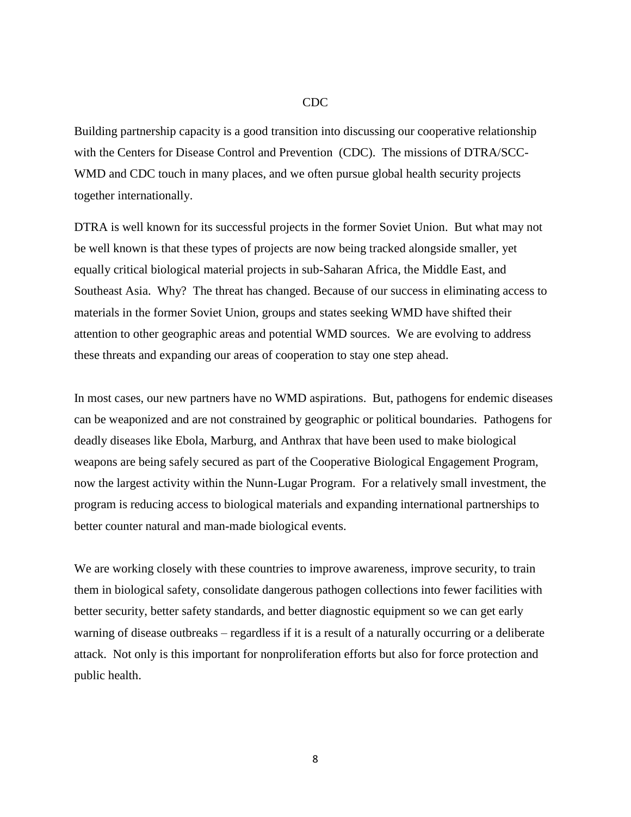#### CDC

Building partnership capacity is a good transition into discussing our cooperative relationship with the Centers for Disease Control and Prevention (CDC). The missions of DTRA/SCC-WMD and CDC touch in many places, and we often pursue global health security projects together internationally.

DTRA is well known for its successful projects in the former Soviet Union. But what may not be well known is that these types of projects are now being tracked alongside smaller, yet equally critical biological material projects in sub-Saharan Africa, the Middle East, and Southeast Asia. Why? The threat has changed. Because of our success in eliminating access to materials in the former Soviet Union, groups and states seeking WMD have shifted their attention to other geographic areas and potential WMD sources. We are evolving to address these threats and expanding our areas of cooperation to stay one step ahead.

In most cases, our new partners have no WMD aspirations. But, pathogens for endemic diseases can be weaponized and are not constrained by geographic or political boundaries. Pathogens for deadly diseases like Ebola, Marburg, and Anthrax that have been used to make biological weapons are being safely secured as part of the Cooperative Biological Engagement Program, now the largest activity within the Nunn-Lugar Program. For a relatively small investment, the program is reducing access to biological materials and expanding international partnerships to better counter natural and man-made biological events.

We are working closely with these countries to improve awareness, improve security, to train them in biological safety, consolidate dangerous pathogen collections into fewer facilities with better security, better safety standards, and better diagnostic equipment so we can get early warning of disease outbreaks – regardless if it is a result of a naturally occurring or a deliberate attack. Not only is this important for nonproliferation efforts but also for force protection and public health.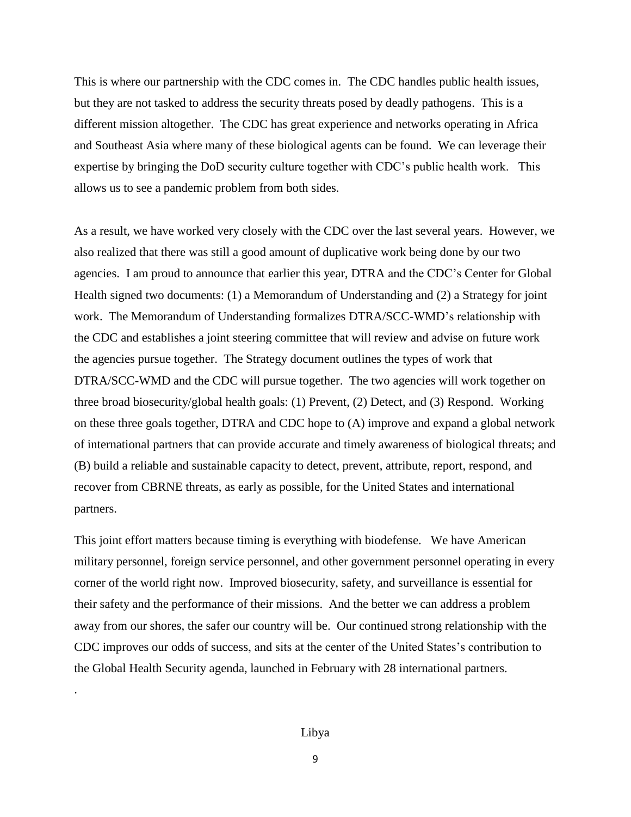This is where our partnership with the CDC comes in. The CDC handles public health issues, but they are not tasked to address the security threats posed by deadly pathogens. This is a different mission altogether. The CDC has great experience and networks operating in Africa and Southeast Asia where many of these biological agents can be found. We can leverage their expertise by bringing the DoD security culture together with CDC's public health work. This allows us to see a pandemic problem from both sides.

As a result, we have worked very closely with the CDC over the last several years. However, we also realized that there was still a good amount of duplicative work being done by our two agencies. I am proud to announce that earlier this year, DTRA and the CDC's Center for Global Health signed two documents: (1) a Memorandum of Understanding and (2) a Strategy for joint work. The Memorandum of Understanding formalizes DTRA/SCC-WMD's relationship with the CDC and establishes a joint steering committee that will review and advise on future work the agencies pursue together. The Strategy document outlines the types of work that DTRA/SCC-WMD and the CDC will pursue together. The two agencies will work together on three broad biosecurity/global health goals: (1) Prevent, (2) Detect, and (3) Respond. Working on these three goals together, DTRA and CDC hope to (A) improve and expand a global network of international partners that can provide accurate and timely awareness of biological threats; and (B) build a reliable and sustainable capacity to detect, prevent, attribute, report, respond, and recover from CBRNE threats, as early as possible, for the United States and international partners.

This joint effort matters because timing is everything with biodefense. We have American military personnel, foreign service personnel, and other government personnel operating in every corner of the world right now. Improved biosecurity, safety, and surveillance is essential for their safety and the performance of their missions. And the better we can address a problem away from our shores, the safer our country will be. Our continued strong relationship with the CDC improves our odds of success, and sits at the center of the United States's contribution to the Global Health Security agenda, launched in February with 28 international partners.

.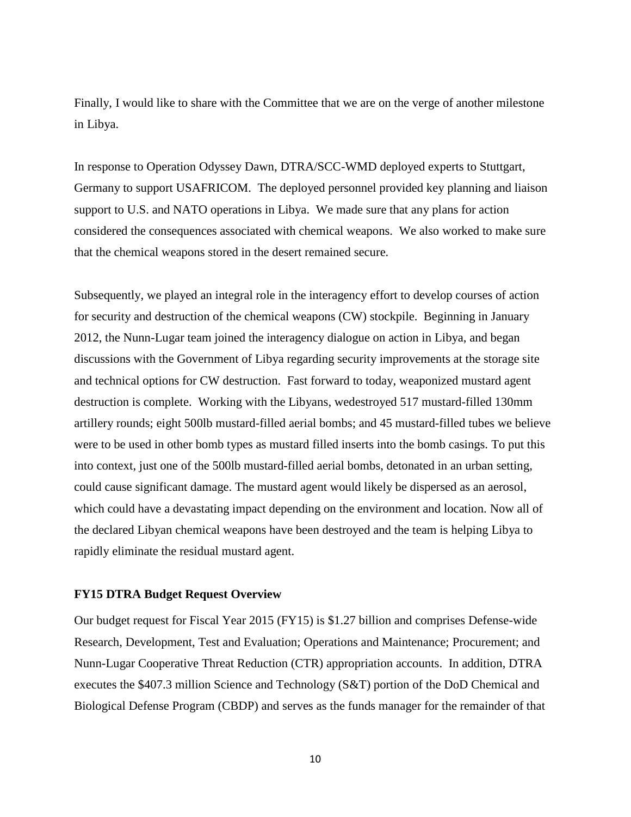Finally, I would like to share with the Committee that we are on the verge of another milestone in Libya.

In response to Operation Odyssey Dawn, DTRA/SCC-WMD deployed experts to Stuttgart, Germany to support USAFRICOM. The deployed personnel provided key planning and liaison support to U.S. and NATO operations in Libya. We made sure that any plans for action considered the consequences associated with chemical weapons. We also worked to make sure that the chemical weapons stored in the desert remained secure.

Subsequently, we played an integral role in the interagency effort to develop courses of action for security and destruction of the chemical weapons (CW) stockpile. Beginning in January 2012, the Nunn-Lugar team joined the interagency dialogue on action in Libya, and began discussions with the Government of Libya regarding security improvements at the storage site and technical options for CW destruction. Fast forward to today, weaponized mustard agent destruction is complete. Working with the Libyans, wedestroyed 517 mustard-filled 130mm artillery rounds; eight 500lb mustard-filled aerial bombs; and 45 mustard-filled tubes we believe were to be used in other bomb types as mustard filled inserts into the bomb casings. To put this into context, just one of the 500lb mustard-filled aerial bombs, detonated in an urban setting, could cause significant damage. The mustard agent would likely be dispersed as an aerosol, which could have a devastating impact depending on the environment and location. Now all of the declared Libyan chemical weapons have been destroyed and the team is helping Libya to rapidly eliminate the residual mustard agent.

#### **FY15 DTRA Budget Request Overview**

Our budget request for Fiscal Year 2015 (FY15) is \$1.27 billion and comprises Defense-wide Research, Development, Test and Evaluation; Operations and Maintenance; Procurement; and Nunn-Lugar Cooperative Threat Reduction (CTR) appropriation accounts. In addition, DTRA executes the \$407.3 million Science and Technology (S&T) portion of the DoD Chemical and Biological Defense Program (CBDP) and serves as the funds manager for the remainder of that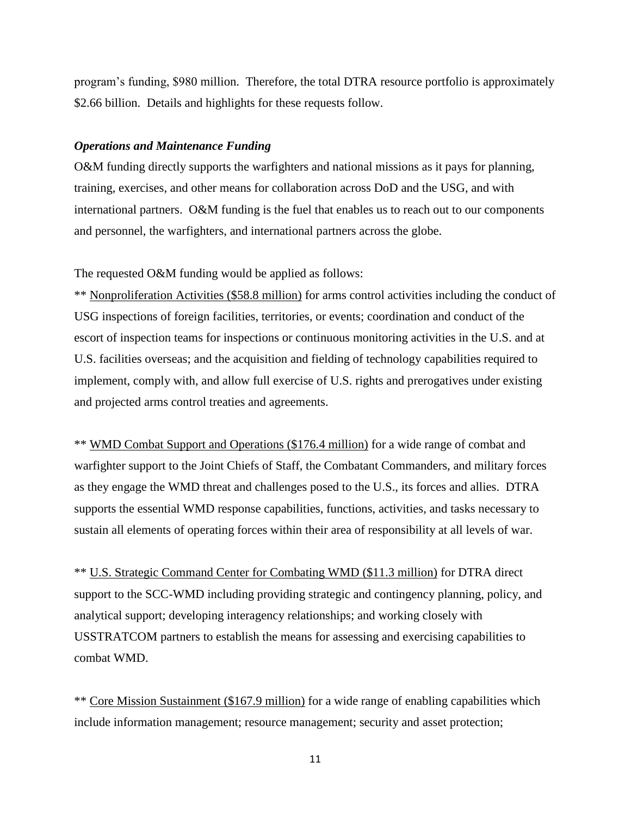program's funding, \$980 million. Therefore, the total DTRA resource portfolio is approximately \$2.66 billion. Details and highlights for these requests follow.

#### *Operations and Maintenance Funding*

O&M funding directly supports the warfighters and national missions as it pays for planning, training, exercises, and other means for collaboration across DoD and the USG, and with international partners. O&M funding is the fuel that enables us to reach out to our components and personnel, the warfighters, and international partners across the globe.

The requested O&M funding would be applied as follows:

\*\* Nonproliferation Activities (\$58.8 million) for arms control activities including the conduct of USG inspections of foreign facilities, territories, or events; coordination and conduct of the escort of inspection teams for inspections or continuous monitoring activities in the U.S. and at U.S. facilities overseas; and the acquisition and fielding of technology capabilities required to implement, comply with, and allow full exercise of U.S. rights and prerogatives under existing and projected arms control treaties and agreements.

\*\* WMD Combat Support and Operations (\$176.4 million) for a wide range of combat and warfighter support to the Joint Chiefs of Staff, the Combatant Commanders, and military forces as they engage the WMD threat and challenges posed to the U.S., its forces and allies. DTRA supports the essential WMD response capabilities, functions, activities, and tasks necessary to sustain all elements of operating forces within their area of responsibility at all levels of war.

\*\* U.S. Strategic Command Center for Combating WMD (\$11.3 million) for DTRA direct support to the SCC-WMD including providing strategic and contingency planning, policy, and analytical support; developing interagency relationships; and working closely with USSTRATCOM partners to establish the means for assessing and exercising capabilities to combat WMD.

\*\* Core Mission Sustainment (\$167.9 million) for a wide range of enabling capabilities which include information management; resource management; security and asset protection;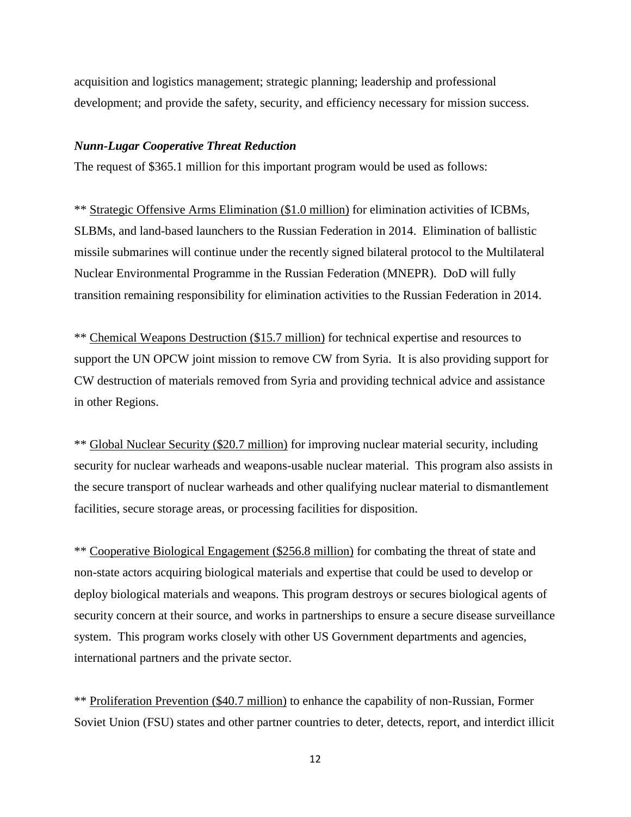acquisition and logistics management; strategic planning; leadership and professional development; and provide the safety, security, and efficiency necessary for mission success.

#### *Nunn-Lugar Cooperative Threat Reduction*

The request of \$365.1 million for this important program would be used as follows:

\*\* Strategic Offensive Arms Elimination (\$1.0 million) for elimination activities of ICBMs, SLBMs, and land-based launchers to the Russian Federation in 2014. Elimination of ballistic missile submarines will continue under the recently signed bilateral protocol to the Multilateral Nuclear Environmental Programme in the Russian Federation (MNEPR). DoD will fully transition remaining responsibility for elimination activities to the Russian Federation in 2014.

\*\* Chemical Weapons Destruction (\$15.7 million) for technical expertise and resources to support the UN OPCW joint mission to remove CW from Syria. It is also providing support for CW destruction of materials removed from Syria and providing technical advice and assistance in other Regions.

\*\* Global Nuclear Security (\$20.7 million) for improving nuclear material security, including security for nuclear warheads and weapons-usable nuclear material. This program also assists in the secure transport of nuclear warheads and other qualifying nuclear material to dismantlement facilities, secure storage areas, or processing facilities for disposition.

\*\* Cooperative Biological Engagement (\$256.8 million) for combating the threat of state and non-state actors acquiring biological materials and expertise that could be used to develop or deploy biological materials and weapons. This program destroys or secures biological agents of security concern at their source, and works in partnerships to ensure a secure disease surveillance system. This program works closely with other US Government departments and agencies, international partners and the private sector.

\*\* Proliferation Prevention (\$40.7 million) to enhance the capability of non-Russian, Former Soviet Union (FSU) states and other partner countries to deter, detects, report, and interdict illicit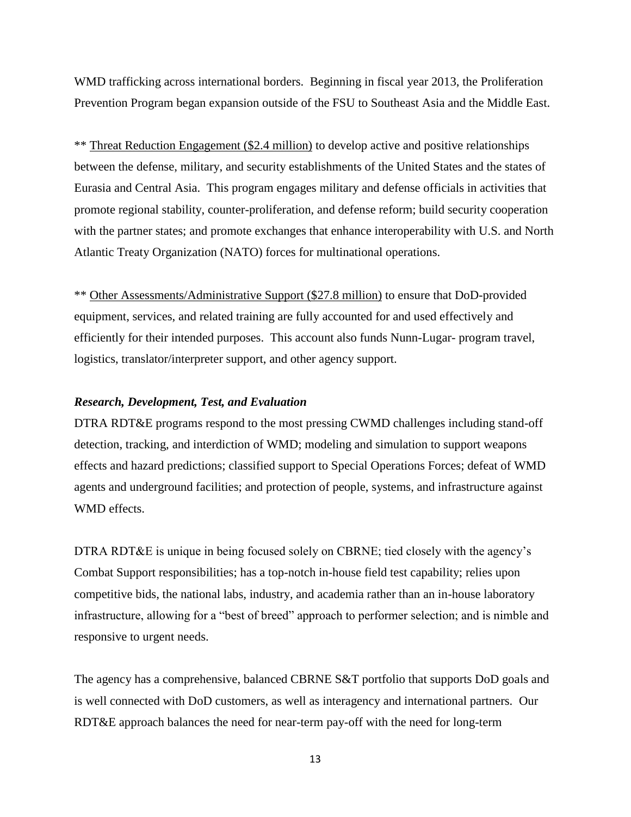WMD trafficking across international borders. Beginning in fiscal year 2013, the Proliferation Prevention Program began expansion outside of the FSU to Southeast Asia and the Middle East.

\*\* Threat Reduction Engagement (\$2.4 million) to develop active and positive relationships between the defense, military, and security establishments of the United States and the states of Eurasia and Central Asia. This program engages military and defense officials in activities that promote regional stability, counter-proliferation, and defense reform; build security cooperation with the partner states; and promote exchanges that enhance interoperability with U.S. and North Atlantic Treaty Organization (NATO) forces for multinational operations.

\*\* Other Assessments/Administrative Support (\$27.8 million) to ensure that DoD-provided equipment, services, and related training are fully accounted for and used effectively and efficiently for their intended purposes. This account also funds Nunn-Lugar- program travel, logistics, translator/interpreter support, and other agency support.

#### *Research, Development, Test, and Evaluation*

DTRA RDT&E programs respond to the most pressing CWMD challenges including stand-off detection, tracking, and interdiction of WMD; modeling and simulation to support weapons effects and hazard predictions; classified support to Special Operations Forces; defeat of WMD agents and underground facilities; and protection of people, systems, and infrastructure against WMD effects.

DTRA RDT&E is unique in being focused solely on CBRNE; tied closely with the agency's Combat Support responsibilities; has a top-notch in-house field test capability; relies upon competitive bids, the national labs, industry, and academia rather than an in-house laboratory infrastructure, allowing for a "best of breed" approach to performer selection; and is nimble and responsive to urgent needs.

The agency has a comprehensive, balanced CBRNE S&T portfolio that supports DoD goals and is well connected with DoD customers, as well as interagency and international partners. Our RDT&E approach balances the need for near-term pay-off with the need for long-term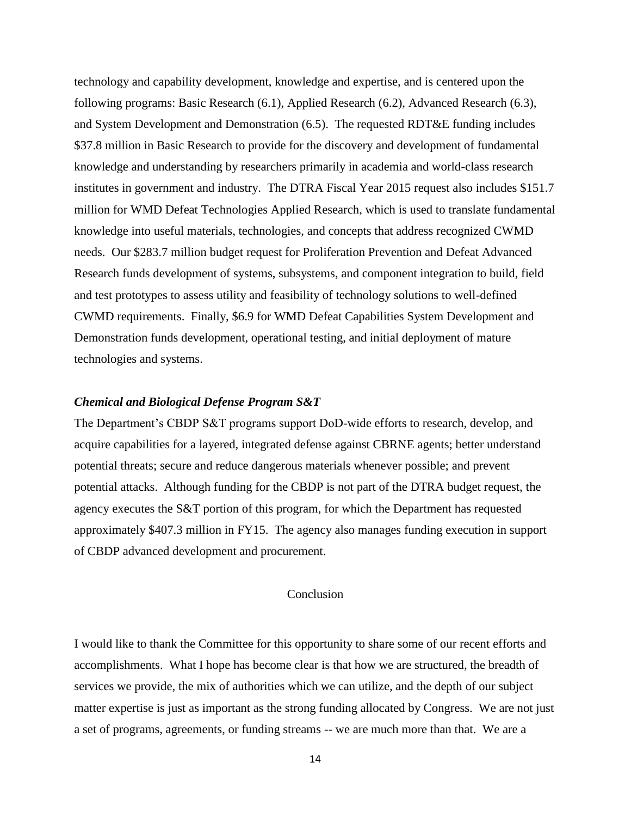technology and capability development, knowledge and expertise, and is centered upon the following programs: Basic Research (6.1), Applied Research (6.2), Advanced Research (6.3), and System Development and Demonstration (6.5). The requested RDT&E funding includes \$37.8 million in Basic Research to provide for the discovery and development of fundamental knowledge and understanding by researchers primarily in academia and world-class research institutes in government and industry. The DTRA Fiscal Year 2015 request also includes \$151.7 million for WMD Defeat Technologies Applied Research, which is used to translate fundamental knowledge into useful materials, technologies, and concepts that address recognized CWMD needs. Our \$283.7 million budget request for Proliferation Prevention and Defeat Advanced Research funds development of systems, subsystems, and component integration to build, field and test prototypes to assess utility and feasibility of technology solutions to well-defined CWMD requirements. Finally, \$6.9 for WMD Defeat Capabilities System Development and Demonstration funds development, operational testing, and initial deployment of mature technologies and systems.

#### *Chemical and Biological Defense Program S&T*

The Department's CBDP S&T programs support DoD-wide efforts to research, develop, and acquire capabilities for a layered, integrated defense against CBRNE agents; better understand potential threats; secure and reduce dangerous materials whenever possible; and prevent potential attacks. Although funding for the CBDP is not part of the DTRA budget request, the agency executes the S&T portion of this program, for which the Department has requested approximately \$407.3 million in FY15. The agency also manages funding execution in support of CBDP advanced development and procurement.

#### Conclusion

I would like to thank the Committee for this opportunity to share some of our recent efforts and accomplishments. What I hope has become clear is that how we are structured, the breadth of services we provide, the mix of authorities which we can utilize, and the depth of our subject matter expertise is just as important as the strong funding allocated by Congress. We are not just a set of programs, agreements, or funding streams -- we are much more than that. We are a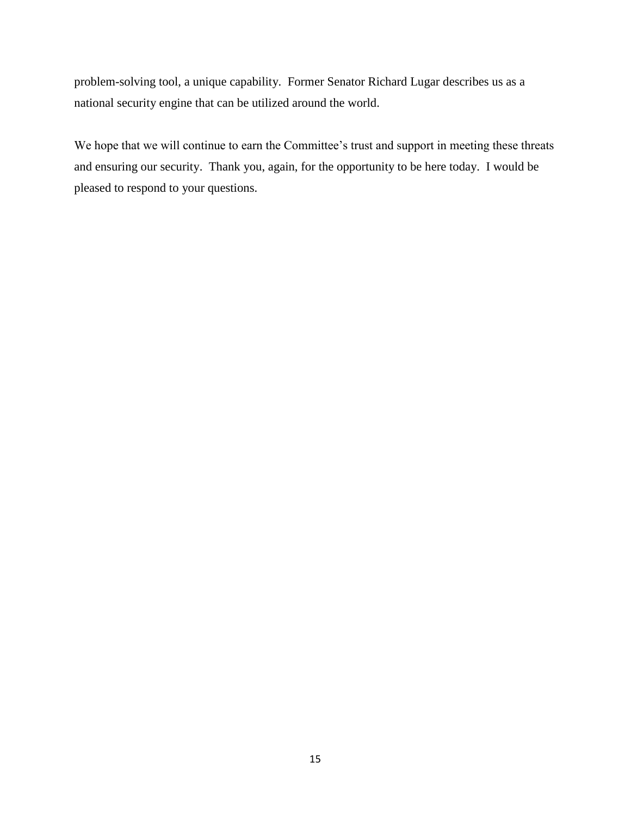problem-solving tool, a unique capability. Former Senator Richard Lugar describes us as a national security engine that can be utilized around the world.

We hope that we will continue to earn the Committee's trust and support in meeting these threats and ensuring our security. Thank you, again, for the opportunity to be here today. I would be pleased to respond to your questions.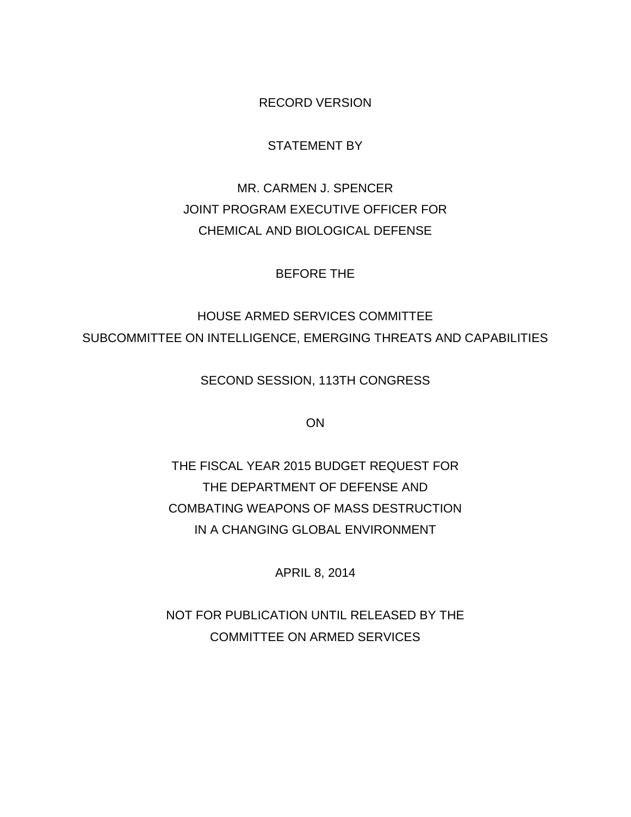#### RECORD VERSION

#### STATEMENT BY

## <span id="page-26-0"></span>MR. CARMEN J. SPENCER JOINT PROGRAM EXECUTIVE OFFICER FOR CHEMICAL AND BIOLOGICAL DEFENSE

#### BEFORE THE

## HOUSE ARMED SERVICES COMMITTEE SUBCOMMITTEE ON INTELLIGENCE, EMERGING THREATS AND CAPABILITIES

#### SECOND SESSION, 113TH CONGRESS

ON

THE FISCAL YEAR 2015 BUDGET REQUEST FOR THE DEPARTMENT OF DEFENSE AND COMBATING WEAPONS OF MASS DESTRUCTION IN A CHANGING GLOBAL ENVIRONMENT

APRIL 8, 2014

NOT FOR PUBLICATION UNTIL RELEASED BY THE COMMITTEE ON ARMED SERVICES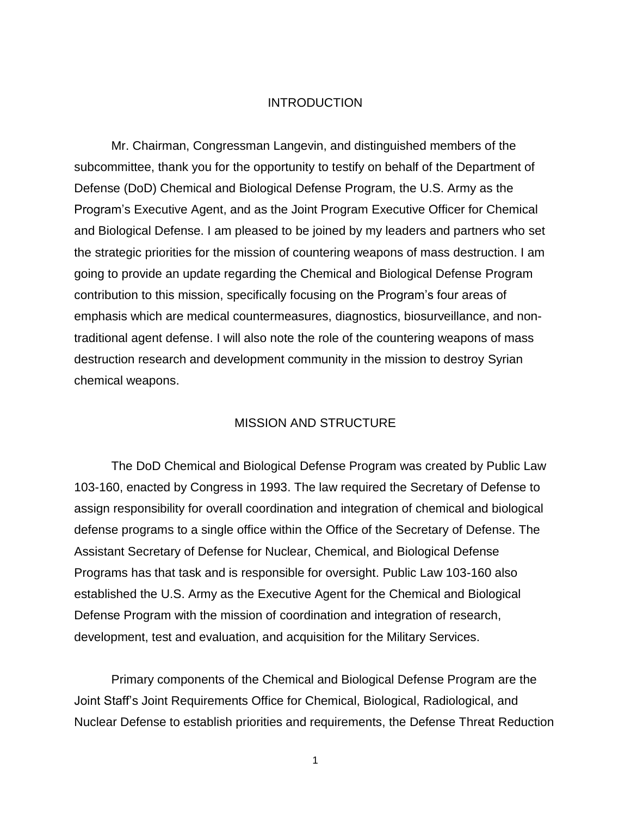#### INTRODUCTION

Mr. Chairman, Congressman Langevin, and distinguished members of the subcommittee, thank you for the opportunity to testify on behalf of the Department of Defense (DoD) Chemical and Biological Defense Program, the U.S. Army as the Program's Executive Agent, and as the Joint Program Executive Officer for Chemical and Biological Defense. I am pleased to be joined by my leaders and partners who set the strategic priorities for the mission of countering weapons of mass destruction. I am going to provide an update regarding the Chemical and Biological Defense Program contribution to this mission, specifically focusing on the Program's four areas of emphasis which are medical countermeasures, diagnostics, biosurveillance, and nontraditional agent defense. I will also note the role of the countering weapons of mass destruction research and development community in the mission to destroy Syrian chemical weapons.

#### MISSION AND STRUCTURE

The DoD Chemical and Biological Defense Program was created by Public Law 103-160, enacted by Congress in 1993. The law required the Secretary of Defense to assign responsibility for overall coordination and integration of chemical and biological defense programs to a single office within the Office of the Secretary of Defense. The Assistant Secretary of Defense for Nuclear, Chemical, and Biological Defense Programs has that task and is responsible for oversight. Public Law 103-160 also established the U.S. Army as the Executive Agent for the Chemical and Biological Defense Program with the mission of coordination and integration of research, development, test and evaluation, and acquisition for the Military Services.

Primary components of the Chemical and Biological Defense Program are the Joint Staff's Joint Requirements Office for Chemical, Biological, Radiological, and Nuclear Defense to establish priorities and requirements, the Defense Threat Reduction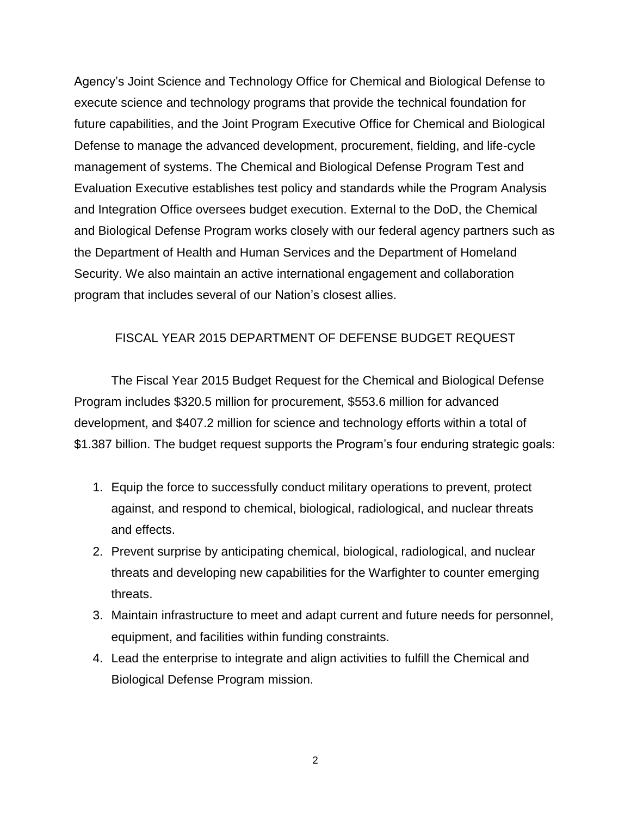Agency's Joint Science and Technology Office for Chemical and Biological Defense to execute science and technology programs that provide the technical foundation for future capabilities, and the Joint Program Executive Office for Chemical and Biological Defense to manage the advanced development, procurement, fielding, and life-cycle management of systems. The Chemical and Biological Defense Program Test and Evaluation Executive establishes test policy and standards while the Program Analysis and Integration Office oversees budget execution. External to the DoD, the Chemical and Biological Defense Program works closely with our federal agency partners such as the Department of Health and Human Services and the Department of Homeland Security. We also maintain an active international engagement and collaboration program that includes several of our Nation's closest allies.

#### FISCAL YEAR 2015 DEPARTMENT OF DEFENSE BUDGET REQUEST

The Fiscal Year 2015 Budget Request for the Chemical and Biological Defense Program includes \$320.5 million for procurement, \$553.6 million for advanced development, and \$407.2 million for science and technology efforts within a total of \$1.387 billion. The budget request supports the Program's four enduring strategic goals:

- 1. Equip the force to successfully conduct military operations to prevent, protect against, and respond to chemical, biological, radiological, and nuclear threats and effects.
- 2. Prevent surprise by anticipating chemical, biological, radiological, and nuclear threats and developing new capabilities for the Warfighter to counter emerging threats.
- 3. Maintain infrastructure to meet and adapt current and future needs for personnel, equipment, and facilities within funding constraints.
- 4. Lead the enterprise to integrate and align activities to fulfill the Chemical and Biological Defense Program mission.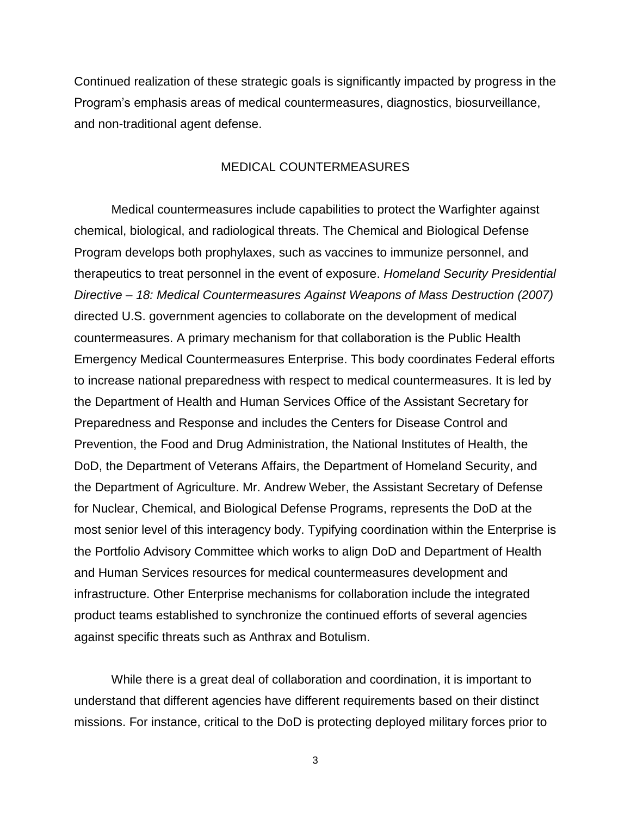Continued realization of these strategic goals is significantly impacted by progress in the Program's emphasis areas of medical countermeasures, diagnostics, biosurveillance, and non-traditional agent defense.

#### MEDICAL COUNTERMEASURES

Medical countermeasures include capabilities to protect the Warfighter against chemical, biological, and radiological threats. The Chemical and Biological Defense Program develops both prophylaxes, such as vaccines to immunize personnel, and therapeutics to treat personnel in the event of exposure. *Homeland Security Presidential Directive – 18: Medical Countermeasures Against Weapons of Mass Destruction (2007)* directed U.S. government agencies to collaborate on the development of medical countermeasures. A primary mechanism for that collaboration is the Public Health Emergency Medical Countermeasures Enterprise. This body coordinates Federal efforts to increase national preparedness with respect to medical countermeasures. It is led by the Department of Health and Human Services Office of the Assistant Secretary for Preparedness and Response and includes the Centers for Disease Control and Prevention, the Food and Drug Administration, the National Institutes of Health, the DoD, the Department of Veterans Affairs, the Department of Homeland Security, and the Department of Agriculture. Mr. Andrew Weber, the Assistant Secretary of Defense for Nuclear, Chemical, and Biological Defense Programs, represents the DoD at the most senior level of this interagency body. Typifying coordination within the Enterprise is the Portfolio Advisory Committee which works to align DoD and Department of Health and Human Services resources for medical countermeasures development and infrastructure. Other Enterprise mechanisms for collaboration include the integrated product teams established to synchronize the continued efforts of several agencies against specific threats such as Anthrax and Botulism.

While there is a great deal of collaboration and coordination, it is important to understand that different agencies have different requirements based on their distinct missions. For instance, critical to the DoD is protecting deployed military forces prior to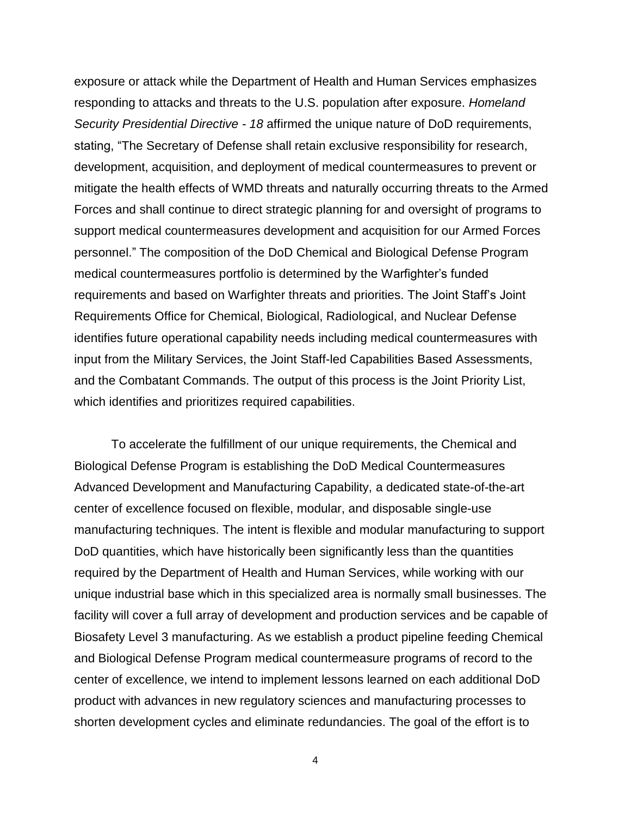exposure or attack while the Department of Health and Human Services emphasizes responding to attacks and threats to the U.S. population after exposure. *Homeland Security Presidential Directive - 18* affirmed the unique nature of DoD requirements, stating, "The Secretary of Defense shall retain exclusive responsibility for research, development, acquisition, and deployment of medical countermeasures to prevent or mitigate the health effects of WMD threats and naturally occurring threats to the Armed Forces and shall continue to direct strategic planning for and oversight of programs to support medical countermeasures development and acquisition for our Armed Forces personnel." The composition of the DoD Chemical and Biological Defense Program medical countermeasures portfolio is determined by the Warfighter's funded requirements and based on Warfighter threats and priorities. The Joint Staff's Joint Requirements Office for Chemical, Biological, Radiological, and Nuclear Defense identifies future operational capability needs including medical countermeasures with input from the Military Services, the Joint Staff-led Capabilities Based Assessments, and the Combatant Commands. The output of this process is the Joint Priority List, which identifies and prioritizes required capabilities.

To accelerate the fulfillment of our unique requirements, the Chemical and Biological Defense Program is establishing the DoD Medical Countermeasures Advanced Development and Manufacturing Capability, a dedicated state-of-the-art center of excellence focused on flexible, modular, and disposable single-use manufacturing techniques. The intent is flexible and modular manufacturing to support DoD quantities, which have historically been significantly less than the quantities required by the Department of Health and Human Services, while working with our unique industrial base which in this specialized area is normally small businesses. The facility will cover a full array of development and production services and be capable of Biosafety Level 3 manufacturing. As we establish a product pipeline feeding Chemical and Biological Defense Program medical countermeasure programs of record to the center of excellence, we intend to implement lessons learned on each additional DoD product with advances in new regulatory sciences and manufacturing processes to shorten development cycles and eliminate redundancies. The goal of the effort is to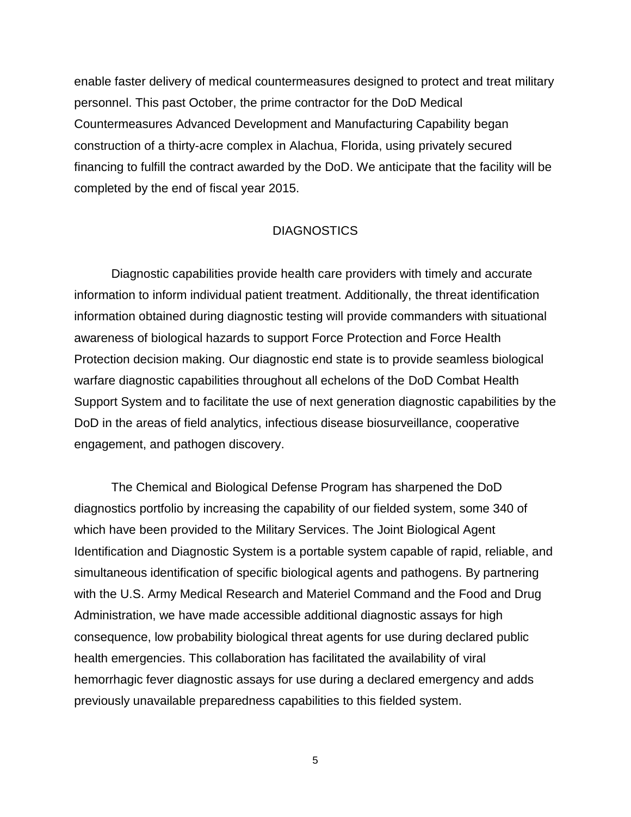enable faster delivery of medical countermeasures designed to protect and treat military personnel. This past October, the prime contractor for the DoD Medical Countermeasures Advanced Development and Manufacturing Capability began construction of a thirty-acre complex in Alachua, Florida, using privately secured financing to fulfill the contract awarded by the DoD. We anticipate that the facility will be completed by the end of fiscal year 2015.

#### DIAGNOSTICS

Diagnostic capabilities provide health care providers with timely and accurate information to inform individual patient treatment. Additionally, the threat identification information obtained during diagnostic testing will provide commanders with situational awareness of biological hazards to support Force Protection and Force Health Protection decision making. Our diagnostic end state is to provide seamless biological warfare diagnostic capabilities throughout all echelons of the DoD Combat Health Support System and to facilitate the use of next generation diagnostic capabilities by the DoD in the areas of field analytics, infectious disease biosurveillance, cooperative engagement, and pathogen discovery.

The Chemical and Biological Defense Program has sharpened the DoD diagnostics portfolio by increasing the capability of our fielded system, some 340 of which have been provided to the Military Services. The Joint Biological Agent Identification and Diagnostic System is a portable system capable of rapid, reliable, and simultaneous identification of specific biological agents and pathogens. By partnering with the U.S. Army Medical Research and Materiel Command and the Food and Drug Administration, we have made accessible additional diagnostic assays for high consequence, low probability biological threat agents for use during declared public health emergencies. This collaboration has facilitated the availability of viral hemorrhagic fever diagnostic assays for use during a declared emergency and adds previously unavailable preparedness capabilities to this fielded system.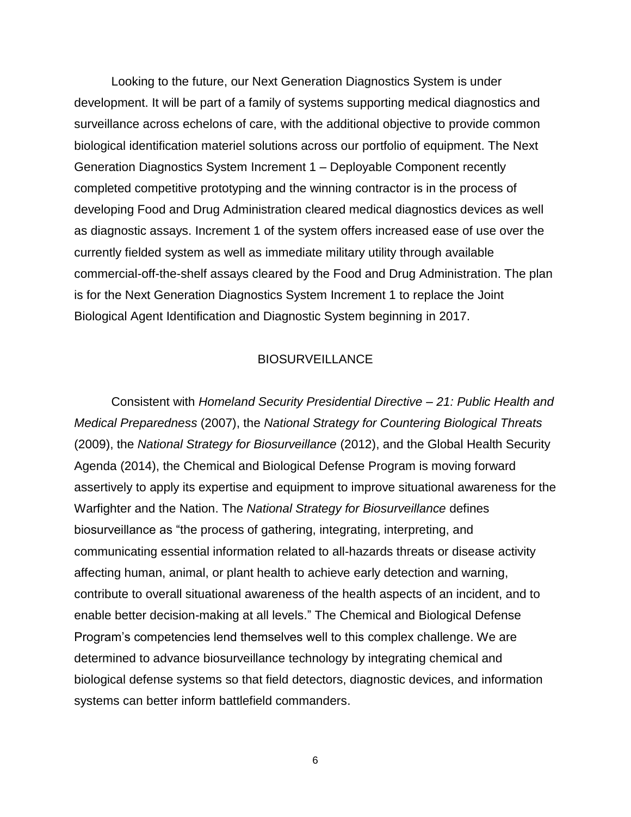Looking to the future, our Next Generation Diagnostics System is under development. It will be part of a family of systems supporting medical diagnostics and surveillance across echelons of care, with the additional objective to provide common biological identification materiel solutions across our portfolio of equipment. The Next Generation Diagnostics System Increment 1 – Deployable Component recently completed competitive prototyping and the winning contractor is in the process of developing Food and Drug Administration cleared medical diagnostics devices as well as diagnostic assays. Increment 1 of the system offers increased ease of use over the currently fielded system as well as immediate military utility through available commercial-off-the-shelf assays cleared by the Food and Drug Administration. The plan is for the Next Generation Diagnostics System Increment 1 to replace the Joint Biological Agent Identification and Diagnostic System beginning in 2017.

#### BIOSURVEILLANCE

Consistent with *Homeland Security Presidential Directive – 21: Public Health and Medical Preparedness* (2007), the *National Strategy for Countering Biological Threats* (2009), the *National Strategy for Biosurveillance* (2012), and the Global Health Security Agenda (2014), the Chemical and Biological Defense Program is moving forward assertively to apply its expertise and equipment to improve situational awareness for the Warfighter and the Nation. The *National Strategy for Biosurveillance* defines biosurveillance as "the process of gathering, integrating, interpreting, and communicating essential information related to all-hazards threats or disease activity affecting human, animal, or plant health to achieve early detection and warning, contribute to overall situational awareness of the health aspects of an incident, and to enable better decision-making at all levels." The Chemical and Biological Defense Program's competencies lend themselves well to this complex challenge. We are determined to advance biosurveillance technology by integrating chemical and biological defense systems so that field detectors, diagnostic devices, and information systems can better inform battlefield commanders.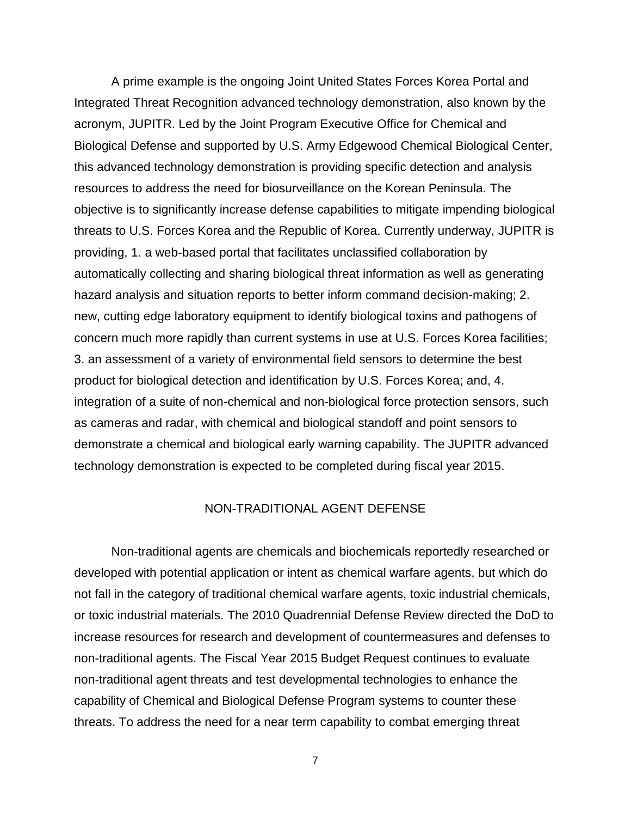A prime example is the ongoing Joint United States Forces Korea Portal and Integrated Threat Recognition advanced technology demonstration, also known by the acronym, JUPITR. Led by the Joint Program Executive Office for Chemical and Biological Defense and supported by U.S. Army Edgewood Chemical Biological Center, this advanced technology demonstration is providing specific detection and analysis resources to address the need for biosurveillance on the Korean Peninsula. The objective is to significantly increase defense capabilities to mitigate impending biological threats to U.S. Forces Korea and the Republic of Korea. Currently underway, JUPITR is providing, 1. a web-based portal that facilitates unclassified collaboration by automatically collecting and sharing biological threat information as well as generating hazard analysis and situation reports to better inform command decision-making; 2. new, cutting edge laboratory equipment to identify biological toxins and pathogens of concern much more rapidly than current systems in use at U.S. Forces Korea facilities; 3. an assessment of a variety of environmental field sensors to determine the best product for biological detection and identification by U.S. Forces Korea; and, 4. integration of a suite of non-chemical and non-biological force protection sensors, such as cameras and radar, with chemical and biological standoff and point sensors to demonstrate a chemical and biological early warning capability. The JUPITR advanced technology demonstration is expected to be completed during fiscal year 2015.

#### NON-TRADITIONAL AGENT DEFENSE

Non-traditional agents are chemicals and biochemicals reportedly researched or developed with potential application or intent as chemical warfare agents, but which do not fall in the category of traditional chemical warfare agents, toxic industrial chemicals, or toxic industrial materials. The 2010 Quadrennial Defense Review directed the DoD to increase resources for research and development of countermeasures and defenses to non-traditional agents. The Fiscal Year 2015 Budget Request continues to evaluate non-traditional agent threats and test developmental technologies to enhance the capability of Chemical and Biological Defense Program systems to counter these threats. To address the need for a near term capability to combat emerging threat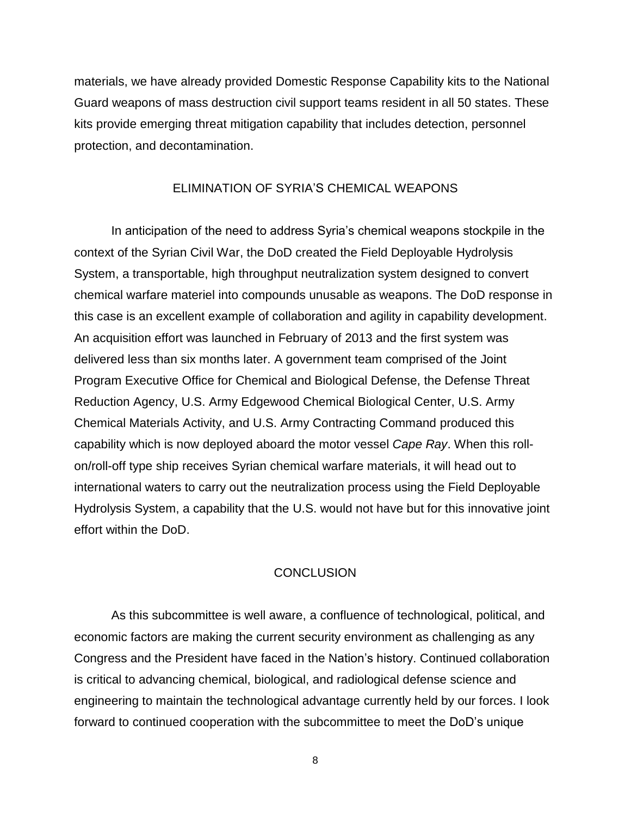materials, we have already provided Domestic Response Capability kits to the National Guard weapons of mass destruction civil support teams resident in all 50 states. These kits provide emerging threat mitigation capability that includes detection, personnel protection, and decontamination.

#### ELIMINATION OF SYRIA'S CHEMICAL WEAPONS

In anticipation of the need to address Syria's chemical weapons stockpile in the context of the Syrian Civil War, the DoD created the Field Deployable Hydrolysis System, a transportable, high throughput neutralization system designed to convert chemical warfare materiel into compounds unusable as weapons. The DoD response in this case is an excellent example of collaboration and agility in capability development. An acquisition effort was launched in February of 2013 and the first system was delivered less than six months later. A government team comprised of the Joint Program Executive Office for Chemical and Biological Defense, the Defense Threat Reduction Agency, U.S. Army Edgewood Chemical Biological Center, U.S. Army Chemical Materials Activity, and U.S. Army Contracting Command produced this capability which is now deployed aboard the motor vessel *Cape Ray*. When this rollon/roll-off type ship receives Syrian chemical warfare materials, it will head out to international waters to carry out the neutralization process using the Field Deployable Hydrolysis System, a capability that the U.S. would not have but for this innovative joint effort within the DoD.

#### **CONCLUSION**

As this subcommittee is well aware, a confluence of technological, political, and economic factors are making the current security environment as challenging as any Congress and the President have faced in the Nation's history. Continued collaboration is critical to advancing chemical, biological, and radiological defense science and engineering to maintain the technological advantage currently held by our forces. I look forward to continued cooperation with the subcommittee to meet the DoD's unique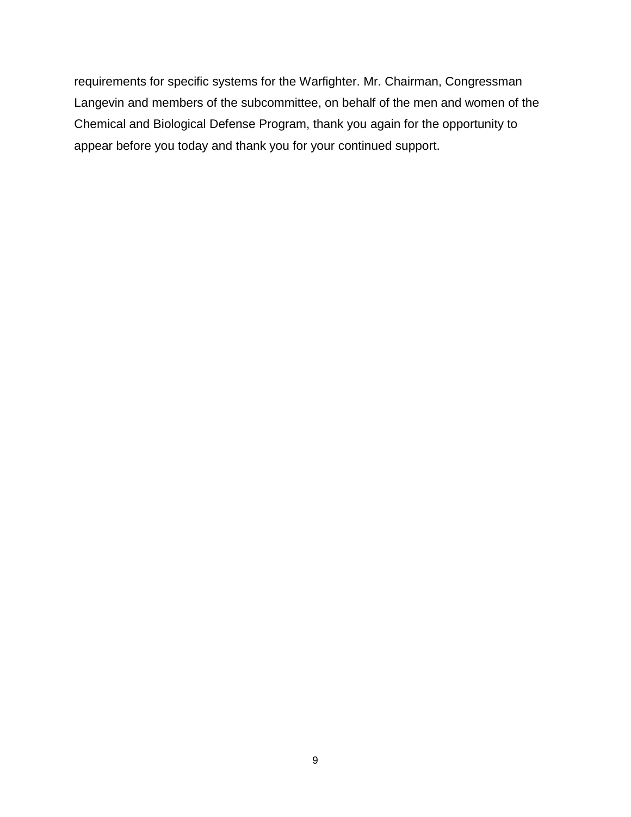requirements for specific systems for the Warfighter. Mr. Chairman, Congressman Langevin and members of the subcommittee, on behalf of the men and women of the Chemical and Biological Defense Program, thank you again for the opportunity to appear before you today and thank you for your continued support.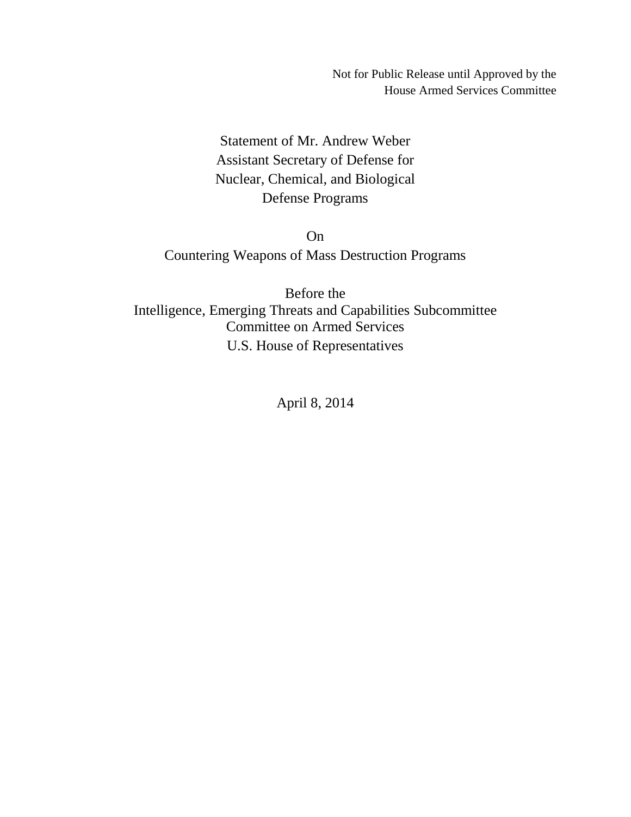Not for Public Release until Approved by the House Armed Services Committee

<span id="page-36-0"></span>Statement of Mr. Andrew Weber Assistant Secretary of Defense for Nuclear, Chemical, and Biological Defense Programs

On

Countering Weapons of Mass Destruction Programs

Before the Intelligence, Emerging Threats and Capabilities Subcommittee Committee on Armed Services U.S. House of Representatives

April 8, 2014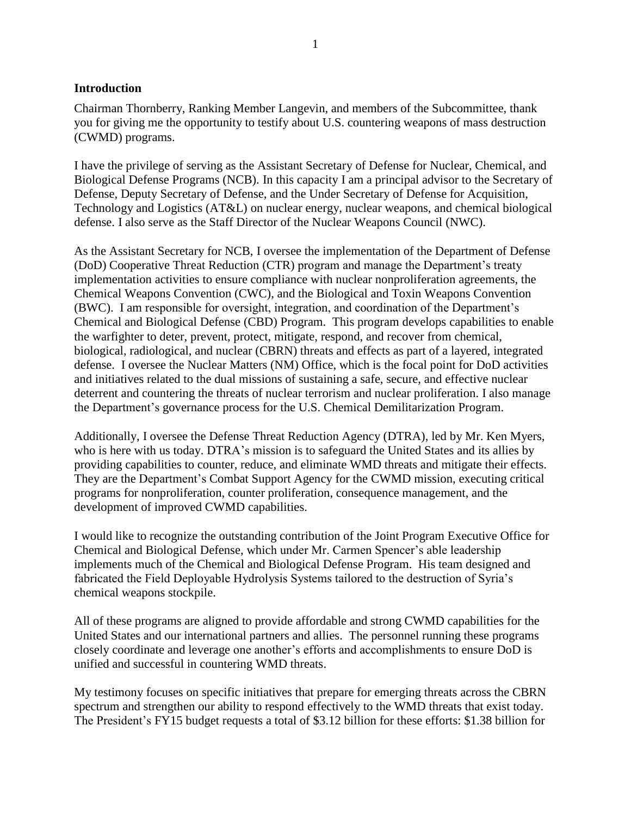#### **Introduction**

Chairman Thornberry, Ranking Member Langevin, and members of the Subcommittee, thank you for giving me the opportunity to testify about U.S. countering weapons of mass destruction (CWMD) programs.

I have the privilege of serving as the Assistant Secretary of Defense for Nuclear, Chemical, and Biological Defense Programs (NCB). In this capacity I am a principal advisor to the Secretary of Defense, Deputy Secretary of Defense, and the Under Secretary of Defense for Acquisition, Technology and Logistics (AT&L) on nuclear energy, nuclear weapons, and chemical biological defense. I also serve as the Staff Director of the Nuclear Weapons Council (NWC).

As the Assistant Secretary for NCB, I oversee the implementation of the Department of Defense (DoD) Cooperative Threat Reduction (CTR) program and manage the Department's treaty implementation activities to ensure compliance with nuclear nonproliferation agreements, the Chemical Weapons Convention (CWC), and the Biological and Toxin Weapons Convention (BWC). I am responsible for oversight, integration, and coordination of the Department's Chemical and Biological Defense (CBD) Program. This program develops capabilities to enable the warfighter to deter, prevent, protect, mitigate, respond, and recover from chemical, biological, radiological, and nuclear (CBRN) threats and effects as part of a layered, integrated defense. I oversee the Nuclear Matters (NM) Office, which is the focal point for DoD activities and initiatives related to the dual missions of sustaining a safe, secure, and effective nuclear deterrent and countering the threats of nuclear terrorism and nuclear proliferation. I also manage the Department's governance process for the U.S. Chemical Demilitarization Program.

Additionally, I oversee the Defense Threat Reduction Agency (DTRA), led by Mr. Ken Myers, who is here with us today. DTRA's mission is to safeguard the United States and its allies by providing capabilities to counter, reduce, and eliminate WMD threats and mitigate their effects. They are the Department's Combat Support Agency for the CWMD mission, executing critical programs for nonproliferation, counter proliferation, consequence management, and the development of improved CWMD capabilities.

I would like to recognize the outstanding contribution of the Joint Program Executive Office for Chemical and Biological Defense, which under Mr. Carmen Spencer's able leadership implements much of the Chemical and Biological Defense Program. His team designed and fabricated the Field Deployable Hydrolysis Systems tailored to the destruction of Syria's chemical weapons stockpile.

All of these programs are aligned to provide affordable and strong CWMD capabilities for the United States and our international partners and allies. The personnel running these programs closely coordinate and leverage one another's efforts and accomplishments to ensure DoD is unified and successful in countering WMD threats.

My testimony focuses on specific initiatives that prepare for emerging threats across the CBRN spectrum and strengthen our ability to respond effectively to the WMD threats that exist today. The President's FY15 budget requests a total of \$3.12 billion for these efforts: \$1.38 billion for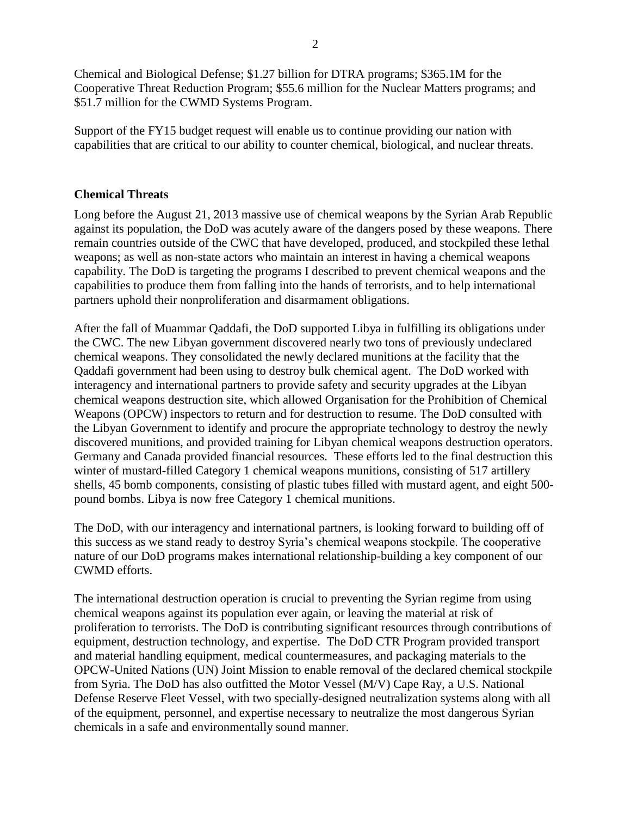Chemical and Biological Defense; \$1.27 billion for DTRA programs; \$365.1M for the Cooperative Threat Reduction Program; \$55.6 million for the Nuclear Matters programs; and \$51.7 million for the CWMD Systems Program.

Support of the FY15 budget request will enable us to continue providing our nation with capabilities that are critical to our ability to counter chemical, biological, and nuclear threats.

#### **Chemical Threats**

Long before the August 21, 2013 massive use of chemical weapons by the Syrian Arab Republic against its population, the DoD was acutely aware of the dangers posed by these weapons. There remain countries outside of the CWC that have developed, produced, and stockpiled these lethal weapons; as well as non-state actors who maintain an interest in having a chemical weapons capability. The DoD is targeting the programs I described to prevent chemical weapons and the capabilities to produce them from falling into the hands of terrorists, and to help international partners uphold their nonproliferation and disarmament obligations.

After the fall of Muammar Qaddafi, the DoD supported Libya in fulfilling its obligations under the CWC. The new Libyan government discovered nearly two tons of previously undeclared chemical weapons. They consolidated the newly declared munitions at the facility that the Qaddafi government had been using to destroy bulk chemical agent. The DoD worked with interagency and international partners to provide safety and security upgrades at the Libyan chemical weapons destruction site, which allowed Organisation for the Prohibition of Chemical Weapons (OPCW) inspectors to return and for destruction to resume. The DoD consulted with the Libyan Government to identify and procure the appropriate technology to destroy the newly discovered munitions, and provided training for Libyan chemical weapons destruction operators. Germany and Canada provided financial resources. These efforts led to the final destruction this winter of mustard-filled Category 1 chemical weapons munitions, consisting of 517 artillery shells, 45 bomb components, consisting of plastic tubes filled with mustard agent, and eight 500 pound bombs. Libya is now free Category 1 chemical munitions.

The DoD, with our interagency and international partners, is looking forward to building off of this success as we stand ready to destroy Syria's chemical weapons stockpile. The cooperative nature of our DoD programs makes international relationship-building a key component of our CWMD efforts.

The international destruction operation is crucial to preventing the Syrian regime from using chemical weapons against its population ever again, or leaving the material at risk of proliferation to terrorists. The DoD is contributing significant resources through contributions of equipment, destruction technology, and expertise. The DoD CTR Program provided transport and material handling equipment, medical countermeasures, and packaging materials to the OPCW-United Nations (UN) Joint Mission to enable removal of the declared chemical stockpile from Syria. The DoD has also outfitted the Motor Vessel (M/V) Cape Ray, a U.S. National Defense Reserve Fleet Vessel, with two specially-designed neutralization systems along with all of the equipment, personnel, and expertise necessary to neutralize the most dangerous Syrian chemicals in a safe and environmentally sound manner.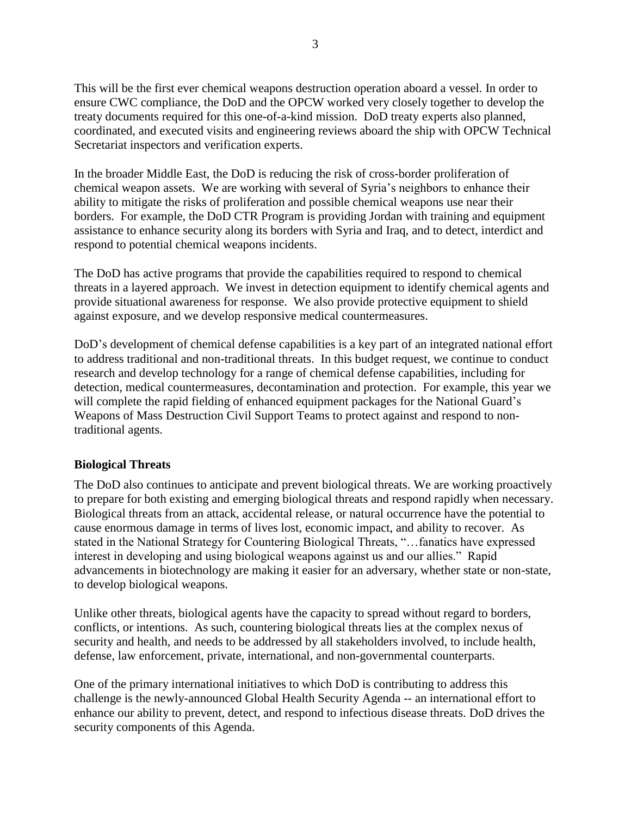This will be the first ever chemical weapons destruction operation aboard a vessel. In order to ensure CWC compliance, the DoD and the OPCW worked very closely together to develop the treaty documents required for this one-of-a-kind mission. DoD treaty experts also planned, coordinated, and executed visits and engineering reviews aboard the ship with OPCW Technical Secretariat inspectors and verification experts.

In the broader Middle East, the DoD is reducing the risk of cross-border proliferation of chemical weapon assets. We are working with several of Syria's neighbors to enhance their ability to mitigate the risks of proliferation and possible chemical weapons use near their borders. For example, the DoD CTR Program is providing Jordan with training and equipment assistance to enhance security along its borders with Syria and Iraq, and to detect, interdict and respond to potential chemical weapons incidents.

The DoD has active programs that provide the capabilities required to respond to chemical threats in a layered approach. We invest in detection equipment to identify chemical agents and provide situational awareness for response. We also provide protective equipment to shield against exposure, and we develop responsive medical countermeasures.

DoD's development of chemical defense capabilities is a key part of an integrated national effort to address traditional and non-traditional threats. In this budget request, we continue to conduct research and develop technology for a range of chemical defense capabilities, including for detection, medical countermeasures, decontamination and protection. For example, this year we will complete the rapid fielding of enhanced equipment packages for the National Guard's Weapons of Mass Destruction Civil Support Teams to protect against and respond to nontraditional agents.

#### **Biological Threats**

The DoD also continues to anticipate and prevent biological threats. We are working proactively to prepare for both existing and emerging biological threats and respond rapidly when necessary. Biological threats from an attack, accidental release, or natural occurrence have the potential to cause enormous damage in terms of lives lost, economic impact, and ability to recover. As stated in the National Strategy for Countering Biological Threats, "…fanatics have expressed interest in developing and using biological weapons against us and our allies." Rapid advancements in biotechnology are making it easier for an adversary, whether state or non-state, to develop biological weapons.

Unlike other threats, biological agents have the capacity to spread without regard to borders, conflicts, or intentions. As such, countering biological threats lies at the complex nexus of security and health, and needs to be addressed by all stakeholders involved, to include health, defense, law enforcement, private, international, and non-governmental counterparts.

One of the primary international initiatives to which DoD is contributing to address this challenge is the newly-announced Global Health Security Agenda -- an international effort to enhance our ability to prevent, detect, and respond to infectious disease threats. DoD drives the security components of this Agenda.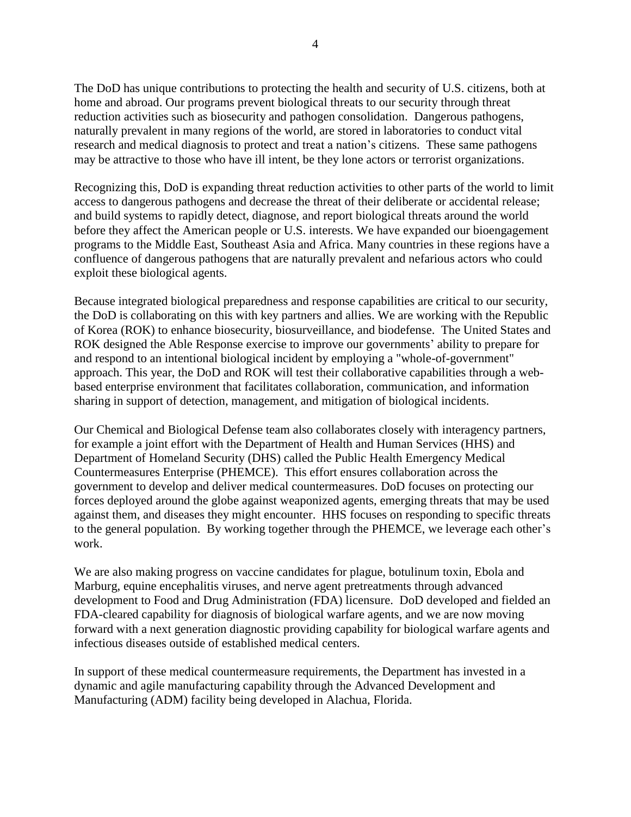The DoD has unique contributions to protecting the health and security of U.S. citizens, both at home and abroad. Our programs prevent biological threats to our security through threat reduction activities such as biosecurity and pathogen consolidation. Dangerous pathogens, naturally prevalent in many regions of the world, are stored in laboratories to conduct vital research and medical diagnosis to protect and treat a nation's citizens. These same pathogens may be attractive to those who have ill intent, be they lone actors or terrorist organizations.

Recognizing this, DoD is expanding threat reduction activities to other parts of the world to limit access to dangerous pathogens and decrease the threat of their deliberate or accidental release; and build systems to rapidly detect, diagnose, and report biological threats around the world before they affect the American people or U.S. interests. We have expanded our bioengagement programs to the Middle East, Southeast Asia and Africa. Many countries in these regions have a confluence of dangerous pathogens that are naturally prevalent and nefarious actors who could exploit these biological agents.

Because integrated biological preparedness and response capabilities are critical to our security, the DoD is collaborating on this with key partners and allies. We are working with the Republic of Korea (ROK) to enhance biosecurity, biosurveillance, and biodefense. The United States and ROK designed the Able Response exercise to improve our governments' ability to prepare for and respond to an intentional biological incident by employing a "whole-of-government" approach. This year, the DoD and ROK will test their collaborative capabilities through a webbased enterprise environment that facilitates collaboration, communication, and information sharing in support of detection, management, and mitigation of biological incidents.

Our Chemical and Biological Defense team also collaborates closely with interagency partners, for example a joint effort with the Department of Health and Human Services (HHS) and Department of Homeland Security (DHS) called the Public Health Emergency Medical Countermeasures Enterprise (PHEMCE). This effort ensures collaboration across the government to develop and deliver medical countermeasures. DoD focuses on protecting our forces deployed around the globe against weaponized agents, emerging threats that may be used against them, and diseases they might encounter. HHS focuses on responding to specific threats to the general population. By working together through the PHEMCE, we leverage each other's work.

We are also making progress on vaccine candidates for plague, botulinum toxin, Ebola and Marburg, equine encephalitis viruses, and nerve agent pretreatments through advanced development to Food and Drug Administration (FDA) licensure. DoD developed and fielded an FDA-cleared capability for diagnosis of biological warfare agents, and we are now moving forward with a next generation diagnostic providing capability for biological warfare agents and infectious diseases outside of established medical centers.

In support of these medical countermeasure requirements, the Department has invested in a dynamic and agile manufacturing capability through the Advanced Development and Manufacturing (ADM) facility being developed in Alachua, Florida.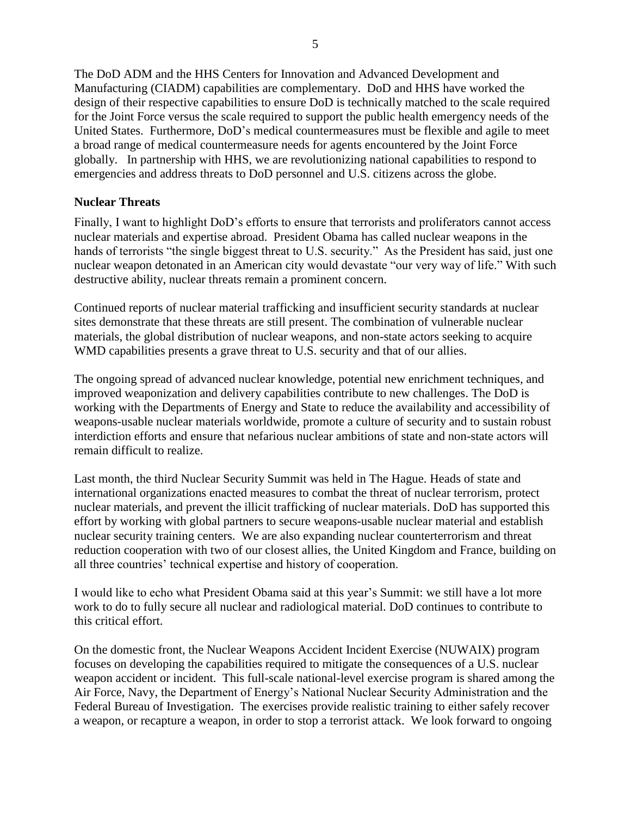The DoD ADM and the HHS Centers for Innovation and Advanced Development and Manufacturing (CIADM) capabilities are complementary. DoD and HHS have worked the design of their respective capabilities to ensure DoD is technically matched to the scale required for the Joint Force versus the scale required to support the public health emergency needs of the United States. Furthermore, DoD's medical countermeasures must be flexible and agile to meet a broad range of medical countermeasure needs for agents encountered by the Joint Force globally. In partnership with HHS, we are revolutionizing national capabilities to respond to emergencies and address threats to DoD personnel and U.S. citizens across the globe.

#### **Nuclear Threats**

Finally, I want to highlight DoD's efforts to ensure that terrorists and proliferators cannot access nuclear materials and expertise abroad. President Obama has called nuclear weapons in the hands of terrorists "the single biggest threat to U.S. security." As the President has said, just one nuclear weapon detonated in an American city would devastate "our very way of life." With such destructive ability, nuclear threats remain a prominent concern.

Continued reports of nuclear material trafficking and insufficient security standards at nuclear sites demonstrate that these threats are still present. The combination of vulnerable nuclear materials, the global distribution of nuclear weapons, and non-state actors seeking to acquire WMD capabilities presents a grave threat to U.S. security and that of our allies.

The ongoing spread of advanced nuclear knowledge, potential new enrichment techniques, and improved weaponization and delivery capabilities contribute to new challenges. The DoD is working with the Departments of Energy and State to reduce the availability and accessibility of weapons-usable nuclear materials worldwide, promote a culture of security and to sustain robust interdiction efforts and ensure that nefarious nuclear ambitions of state and non-state actors will remain difficult to realize.

Last month, the third Nuclear Security Summit was held in The Hague. Heads of state and international organizations enacted measures to combat the threat of nuclear terrorism, protect nuclear materials, and prevent the illicit trafficking of nuclear materials. DoD has supported this effort by working with global partners to secure weapons-usable nuclear material and establish nuclear security training centers. We are also expanding nuclear counterterrorism and threat reduction cooperation with two of our closest allies, the United Kingdom and France, building on all three countries' technical expertise and history of cooperation.

I would like to echo what President Obama said at this year's Summit: we still have a lot more work to do to fully secure all nuclear and radiological material. DoD continues to contribute to this critical effort.

On the domestic front, the Nuclear Weapons Accident Incident Exercise (NUWAIX) program focuses on developing the capabilities required to mitigate the consequences of a U.S. nuclear weapon accident or incident. This full-scale national-level exercise program is shared among the Air Force, Navy, the Department of Energy's National Nuclear Security Administration and the Federal Bureau of Investigation. The exercises provide realistic training to either safely recover a weapon, or recapture a weapon, in order to stop a terrorist attack. We look forward to ongoing